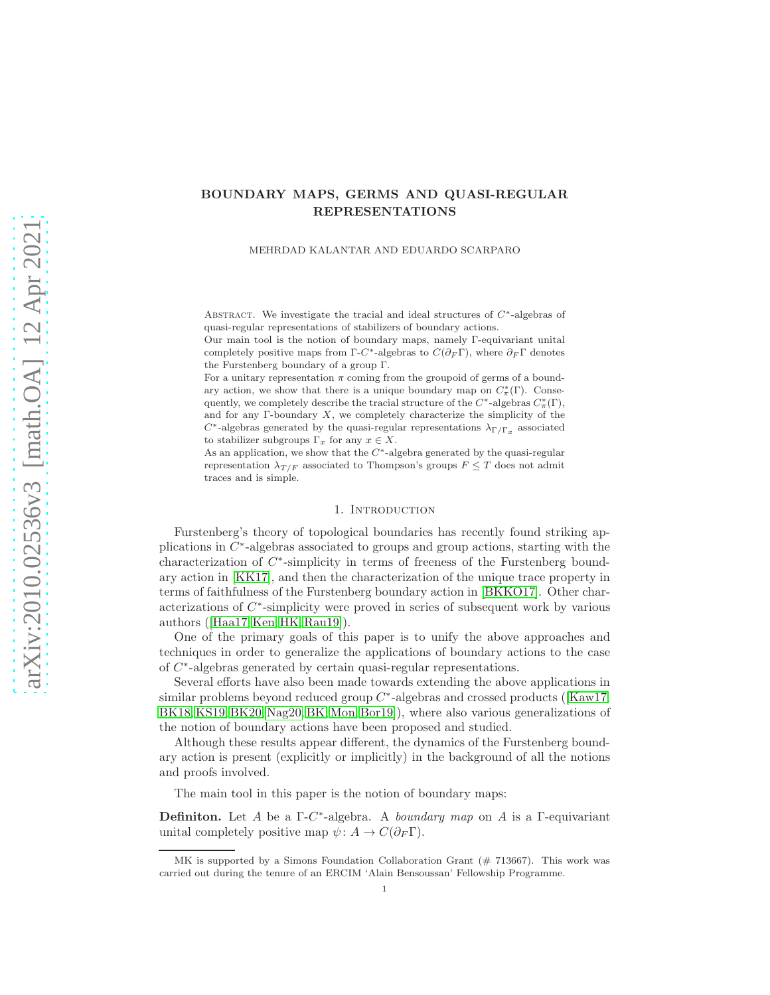## <span id="page-0-0"></span>BOUNDARY MAPS, GERMS AND QUASI-REGULAR REPRESENTATIONS

MEHRDAD KALANTAR AND EDUARDO SCARPARO

ABSTRACT. We investigate the tracial and ideal structures of  $C^*$ -algebras of quasi-regular representations of stabilizers of boundary actions.

Our main tool is the notion of boundary maps, namely Γ-equivariant unital completely positive maps from  $\Gamma$ -C<sup>\*</sup>-algebras to  $C(\partial_F \Gamma)$ , where  $\partial_F \Gamma$  denotes the Furstenberg boundary of a group Γ.

For a unitary representation  $\pi$  coming from the groupoid of germs of a boundary action, we show that there is a unique boundary map on  $C^*_\pi(\Gamma)$ . Consequently, we completely describe the tracial structure of the  $C^*$ -algebras  $C^*_{\pi}(\Gamma)$ , and for any  $\Gamma$ -boundary  $X$ , we completely characterize the simplicity of the  $C^*$  -algebras generated by the quasi-regular representations  $\lambda_{\Gamma/\Gamma_x}$  associated to stabilizer subgroups  $\Gamma_x$  for any  $x \in X$ .

As an application, we show that the  $C^*$ -algebra generated by the quasi-regular representation  $\lambda_{T/F}$  associated to Thompson's groups  $F \leq T$  does not admit traces and is simple.

#### 1. INTRODUCTION

Furstenberg's theory of topological boundaries has recently found striking applications in  $C^*$ -algebras associated to groups and group actions, starting with the characterization of  $C^*$ -simplicity in terms of freeness of the Furstenberg boundary action in [\[KK17\]](#page-23-0), and then the characterization of the unique trace property in terms of faithfulness of the Furstenberg boundary action in [\[BKKO17\]](#page-22-0). Other characterizations of  $C^*$ -simplicity were proved in series of subsequent work by various authors([\[Haa17,](#page-23-1) [Ken,](#page-23-2) [HK,](#page-23-3) [Rau19\]](#page-23-4)).

One of the primary goals of this paper is to unify the above approaches and techniques in order to generalize the applications of boundary actions to the case of C ∗ -algebras generated by certain quasi-regular representations.

Several efforts have also been made towards extending the above applications in similarproblems beyond reduced group  $C^*$ -algebras and crossed products ([\[Kaw17,](#page-23-5) [BK18,](#page-22-1) [KS19,](#page-23-6) [BK20,](#page-22-2) [Nag20,](#page-23-7) [BK,](#page-22-3) [Mon,](#page-23-8) Bor19. where also various generalizations of the notion of boundary actions have been proposed and studied.

Although these results appear different, the dynamics of the Furstenberg boundary action is present (explicitly or implicitly) in the background of all the notions and proofs involved.

The main tool in this paper is the notion of boundary maps:

**Definiton.** Let A be a  $\Gamma$ -C<sup>\*</sup>-algebra. A *boundary map* on A is a  $\Gamma$ -equivariant unital completely positive map  $\psi: A \to C(\partial_F \Gamma)$ .

MK is supported by a Simons Foundation Collaboration Grant (# 713667). This work was carried out during the tenure of an ERCIM 'Alain Bensoussan' Fellowship Programme.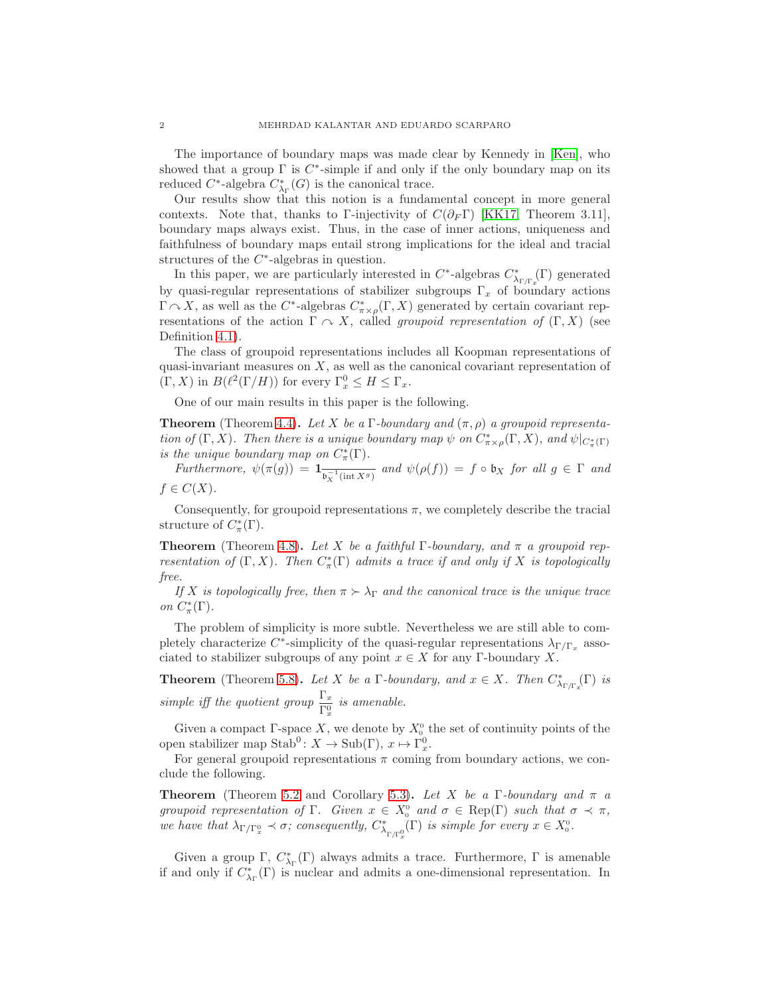<span id="page-1-0"></span>The importance of boundary maps was made clear by Kennedy in [\[Ken\]](#page-23-2), who showed that a group  $\Gamma$  is  $C^*$ -simple if and only if the only boundary map on its reduced  $C^*$ -algebra  $C^*_{\lambda_{\Gamma}}(G)$  is the canonical trace.

Our results show that this notion is a fundamental concept in more general contexts. Note that, thanks to Γ-injectivity of  $C(\partial_F \Gamma)$  [\[KK17,](#page-23-0) Theorem 3.11], boundary maps always exist. Thus, in the case of inner actions, uniqueness and faithfulness of boundary maps entail strong implications for the ideal and tracial structures of the  $C^*$ -algebras in question.

In this paper, we are particularly interested in  $C^*$ -algebras  $C^*_{\lambda_{\Gamma/\Gamma_x}}(\Gamma)$  generated by quasi-regular representations of stabilizer subgroups  $\Gamma_x$  of boundary actions  $\Gamma \curvearrowright X$ , as well as the C<sup>\*</sup>-algebras  $C^*_{\pi \times \rho}(\Gamma, X)$  generated by certain covariant representations of the action  $\Gamma \curvearrowright X$ , called *groupoid representation of*  $(\Gamma, X)$  (see Definition [4.1\)](#page-10-0).

The class of groupoid representations includes all Koopman representations of quasi-invariant measures on  $X$ , as well as the canonical covariant representation of  $(\Gamma, X)$  in  $B(\ell^2(\Gamma/H))$  for every  $\Gamma_x^0 \leq H \leq \Gamma_x$ .

One of our main results in this paper is the following.

**Theorem** (Theorem [4.4\)](#page-11-0). Let X be a Γ-boundary and  $(\pi, \rho)$  a groupoid representation of  $(\Gamma, X)$ . Then there is a unique boundary map  $\psi$  on  $C^*_{\pi \times \rho}(\Gamma, X)$ , and  $\psi|_{C^*_{\pi}(\Gamma)}$ is the unique boundary map on  $C^*_\pi(\Gamma)$ .

Furthermore,  $\psi(\pi(g)) = \mathbb{1}_{\overline{\mathfrak{b}_X^{-1}(\text{int }X^g)}}$  and  $\psi(\rho(f)) = f \circ \mathfrak{b}_X$  for all  $g \in \Gamma$  and  $f \in C(X)$ .

Consequently, for groupoid representations  $\pi$ , we completely describe the tracial structure of  $C^*_\pi(\Gamma)$ .

**Theorem** (Theorem [4.8\)](#page-12-0). Let X be a faithful Γ-boundary, and  $\pi$  a groupoid representation of  $(\Gamma, X)$ . Then  $C^*_{\pi}(\Gamma)$  admits a trace if and only if X is topologically free.

If X is topologically free, then  $\pi > \lambda_{\Gamma}$  and the canonical trace is the unique trace on  $C^*_\pi(\Gamma)$ .

The problem of simplicity is more subtle. Nevertheless we are still able to completely characterize C<sup>\*</sup>-simplicity of the quasi-regular representations  $\lambda_{\Gamma/\Gamma_x}$  associated to stabilizer subgroups of any point  $x \in X$  for any Γ-boundary X.

**Theorem** (Theorem [5.8\)](#page-16-0). Let X be a  $\Gamma$ -boundary, and  $x \in X$ . Then  $C^*_{\lambda_{\Gamma/\Gamma_x}}(\Gamma)$  is simple iff the quotient group  $\frac{\Gamma_x}{\Gamma_x^0}$  is amenable.

Given a compact  $\Gamma$ -space X, we denote by  $X_0^0$  the set of continuity points of the open stabilizer map  $\text{Stab}^0: X \to \text{Sub}(\Gamma), x \mapsto \Gamma_x^0.$ 

For general groupoid representations  $\pi$  coming from boundary actions, we conclude the following.

**Theorem** (Theorem [5.2](#page-15-0) and Corollary [5.3\)](#page-15-1). Let X be a Γ-boundary and  $\pi$  a groupoid representation of  $\Gamma$ . Given  $x \in X_0^0$  and  $\sigma \in \text{Rep}(\Gamma)$  such that  $\sigma \prec \pi$ , we have that  $\lambda_{\Gamma/\Gamma_x^0} \prec \sigma$ ; consequently,  $C^*_{\lambda_{\Gamma/\Gamma_x^0}}(\Gamma)$  is simple for every  $x \in X_0^0$ .

Given a group  $\Gamma$ ,  $C^*_{\lambda_{\Gamma}}(\Gamma)$  always admits a trace. Furthermore,  $\Gamma$  is amenable if and only if  $C^*_{\lambda_{\Gamma}}(\Gamma)$  is nuclear and admits a one-dimensional representation. In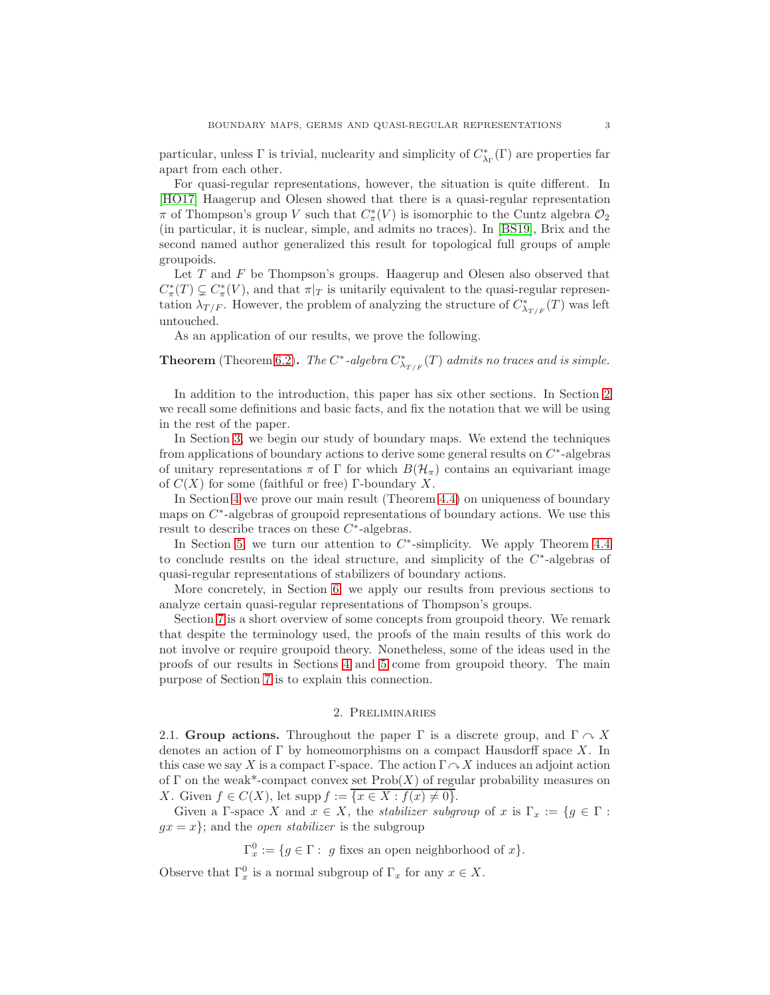<span id="page-2-1"></span>particular, unless  $\Gamma$  is trivial, nuclearity and simplicity of  $C^*_{\lambda_{\Gamma}}(\Gamma)$  are properties far apart from each other.

For quasi-regular representations, however, the situation is quite different. In [\[HO17\]](#page-23-9) Haagerup and Olesen showed that there is a quasi-regular representation π of Thompson's group V such that  $C^*_{\pi}(V)$  is isomorphic to the Cuntz algebra  $\mathcal{O}_2$ (in particular, it is nuclear, simple, and admits no traces). In [\[BS19\]](#page-22-5), Brix and the second named author generalized this result for topological full groups of ample groupoids.

Let  $T$  and  $F$  be Thompson's groups. Haagerup and Olesen also observed that  $C^*_\pi(T) \subsetneq C^*_\pi(V)$ , and that  $\pi|_T$  is unitarily equivalent to the quasi-regular representation  $\lambda_{T/F}$ . However, the problem of analyzing the structure of  $C^*_{\lambda_{T/F}}(T)$  was left untouched.

As an application of our results, we prove the following.

**Theorem** (Theorem [6.2\)](#page-17-0). The  $C^*$ -algebra  $C^*_{\lambda_{T/F}}(T)$  admits no traces and is simple.

In addition to the introduction, this paper has six other sections. In Section [2](#page-2-0) we recall some definitions and basic facts, and fix the notation that we will be using in the rest of the paper.

In Section [3,](#page-6-0) we begin our study of boundary maps. We extend the techniques from applications of boundary actions to derive some general results on  $C^*$ -algebras of unitary representations  $\pi$  of  $\Gamma$  for which  $B(\mathcal{H}_{\pi})$  contains an equivariant image of  $C(X)$  for some (faithful or free) Γ-boundary X.

In Section [4](#page-10-1) we prove our main result (Theorem [4.4\)](#page-11-0) on uniqueness of boundary maps on  $C^*$ -algebras of groupoid representations of boundary actions. We use this result to describe traces on these  $C^*$ -algebras.

In Section [5,](#page-14-0) we turn our attention to  $C^*$ -simplicity. We apply Theorem [4.4](#page-11-0) to conclude results on the ideal structure, and simplicity of the  $C^*$ -algebras of quasi-regular representations of stabilizers of boundary actions.

More concretely, in Section [6,](#page-17-1) we apply our results from previous sections to analyze certain quasi-regular representations of Thompson's groups.

Section [7](#page-19-0) is a short overview of some concepts from groupoid theory. We remark that despite the terminology used, the proofs of the main results of this work do not involve or require groupoid theory. Nonetheless, some of the ideas used in the proofs of our results in Sections [4](#page-10-1) and [5](#page-14-0) come from groupoid theory. The main purpose of Section [7](#page-19-0) is to explain this connection.

### 2. Preliminaries

<span id="page-2-0"></span>2.1. Group actions. Throughout the paper  $\Gamma$  is a discrete group, and  $\Gamma \curvearrowright X$ denotes an action of  $\Gamma$  by homeomorphisms on a compact Hausdorff space X. In this case we say X is a compact Γ-space. The action  $\Gamma \curvearrowright X$  induces an adjoint action of Γ on the weak\*-compact convex set  $\text{Prob}(X)$  of regular probability measures on X. Given  $f \in C(X)$ , let supp  $f := \overline{\{x \in X : f(x) \neq 0\}}$ .

Given a Γ-space X and  $x \in X$ , the *stabilizer subgroup* of x is  $\Gamma_x := \{g \in \Gamma :$  $gx = x$ ; and the *open stabilizer* is the subgroup

 $\Gamma_x^0 := \{ g \in \Gamma : g \text{ fixes an open neighborhood of } x \}.$ 

Observe that  $\Gamma_x^0$  is a normal subgroup of  $\Gamma_x$  for any  $x \in X$ .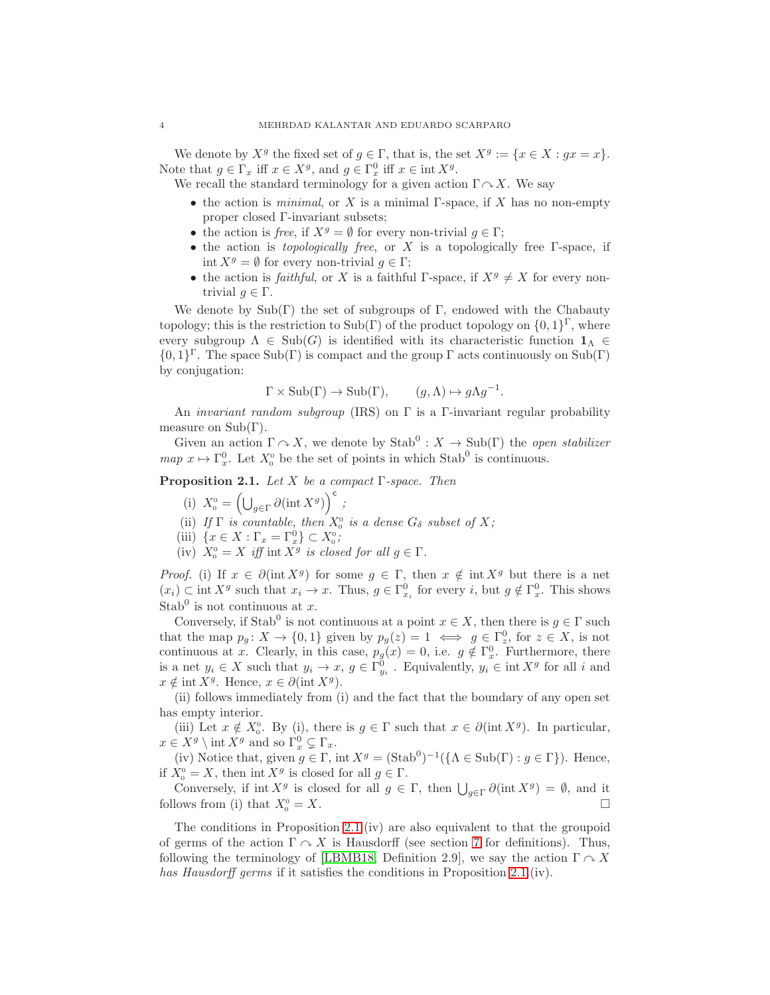<span id="page-3-1"></span>We denote by  $X^g$  the fixed set of  $g \in \Gamma$ , that is, the set  $X^g := \{x \in X : gx = x\}.$ Note that  $g \in \Gamma_x$  iff  $x \in X^g$ , and  $g \in \Gamma_x^0$  iff  $x \in \text{int } X^g$ .

We recall the standard terminology for a given action  $\Gamma \curvearrowright X$ . We say

- the action is *minimal*, or X is a minimal  $\Gamma$ -space, if X has no non-empty proper closed Γ-invariant subsets;
- the action is free, if  $X^g = \emptyset$  for every non-trivial  $q \in \Gamma$ ;
- the action is *topologically free*, or  $X$  is a topologically free  $\Gamma$ -space, if int  $X^g = \emptyset$  for every non-trivial  $g \in \Gamma$ ;
- the action is *faithful*, or X is a faithful Γ-space, if  $X<sup>g</sup> \neq X$  for every nontrivial  $q \in \Gamma$ .

We denote by  $Sub(\Gamma)$  the set of subgroups of  $\Gamma$ , endowed with the Chabauty topology; this is the restriction to  $\text{Sub}(\Gamma)$  of the product topology on  $\{0,1\}^{\Gamma}$ , where every subgroup  $\Lambda \in Sub(G)$  is identified with its characteristic function  $\mathbf{1}_{\Lambda} \in$  $\{0,1\}^{\Gamma}$ . The space Sub(Γ) is compact and the group  $\Gamma$  acts continuously on Sub(Γ) by conjugation:

$$
\Gamma \times \text{Sub}(\Gamma) \to \text{Sub}(\Gamma), \qquad (g, \Lambda) \mapsto g\Lambda g^{-1}.
$$

An *invariant random subgroup* (IRS) on  $\Gamma$  is a  $\Gamma$ -invariant regular probability measure on  $Sub(\Gamma)$ .

<span id="page-3-0"></span>Given an action  $\Gamma \curvearrowright X$ , we denote by  $\text{Stab}^0 : X \to \text{Sub}(\Gamma)$  the *open stabilizer*  $map \ x \mapsto \Gamma_x^0$ . Let  $X_0^0$  be the set of points in which Stab<sup>0</sup> is continuous.

**Proposition 2.1.** Let X be a compact  $\Gamma$ -space. Then

- (i)  $X_0^0 = \left(\bigcup_{g \in \Gamma} \partial(\text{int } X^g)\right)^c$ ;
- (ii) If  $\Gamma$  is countable, then  $X_0^0$  is a dense  $G_{\delta}$  subset of X;
- (iii)  $\{x \in X : \Gamma_x = \Gamma_x^0\} \subset X_0^0$ ;
- (iv)  $X_0^0 = X$  iff int  $X^g$  is closed for all  $g \in \Gamma$ .

*Proof.* (i) If  $x \in \partial(\text{int } X^g)$  for some  $g \in \Gamma$ , then  $x \notin \text{int } X^g$  but there is a net  $(x_i) \subset \text{int } X^g$  such that  $x_i \to x$ . Thus,  $g \in \Gamma_{x_i}^0$  for every i, but  $g \notin \Gamma_x^0$ . This shows Stab<sup>0</sup> is not continuous at x.

Conversely, if Stab<sup>0</sup> is not continuous at a point  $x \in X$ , then there is  $g \in \Gamma$  such that the map  $p_g: X \to \{0,1\}$  given by  $p_g(z) = 1 \iff g \in \Gamma_z^0$ , for  $z \in X$ , is not continuous at x. Clearly, in this case,  $p_g(x) = 0$ , i.e.  $g \notin \Gamma_x^0$ . Furthermore, there is a net  $y_i \in X$  such that  $y_i \to x$ ,  $g \in \Gamma_{y_i}^0$ . Equivalently,  $y_i \in \text{int } X^g$  for all i and  $x \notin \text{int } X^g$ . Hence,  $x \in \partial(\text{int } X^g)$ .

(ii) follows immediately from (i) and the fact that the boundary of any open set has empty interior.

(iii) Let  $x \notin X_0^0$ . By (i), there is  $g \in \Gamma$  such that  $x \in \partial (\text{int } X^g)$ . In particular,  $x \in X^g \setminus \text{int } X^g$  and so  $\Gamma_x^0 \subsetneq \Gamma_x$ .

(iv) Notice that, given  $g \in \Gamma$ , int  $X^g = (\text{Stab}^0)^{-1} (\{\Lambda \in \text{Sub}(\Gamma) : g \in \Gamma\})$ . Hence, if  $X_0^0 = X$ , then int  $X^g$  is closed for all  $g \in \Gamma$ .

Conversely, if  $\text{int } X^g$  is closed for all  $g \in \Gamma$ , then  $\bigcup_{g \in \Gamma} \partial(\text{int } X^g) = \emptyset$ , and it follows from (i) that  $X_0^0 = X$ .  $\Gamma_0^0 = X.$ 

The conditions in Proposition [2.1.](#page-3-0)(iv) are also equivalent to that the groupoid of germs of the action  $\Gamma \cap X$  is Hausdorff (see section [7](#page-19-0) for definitions). Thus, following the terminology of [\[LBMB18,](#page-23-10) Definition 2.9], we say the action  $\Gamma \curvearrowright X$ has Hausdorff germs if it satisfies the conditions in Proposition [2.1.](#page-3-0)(iv).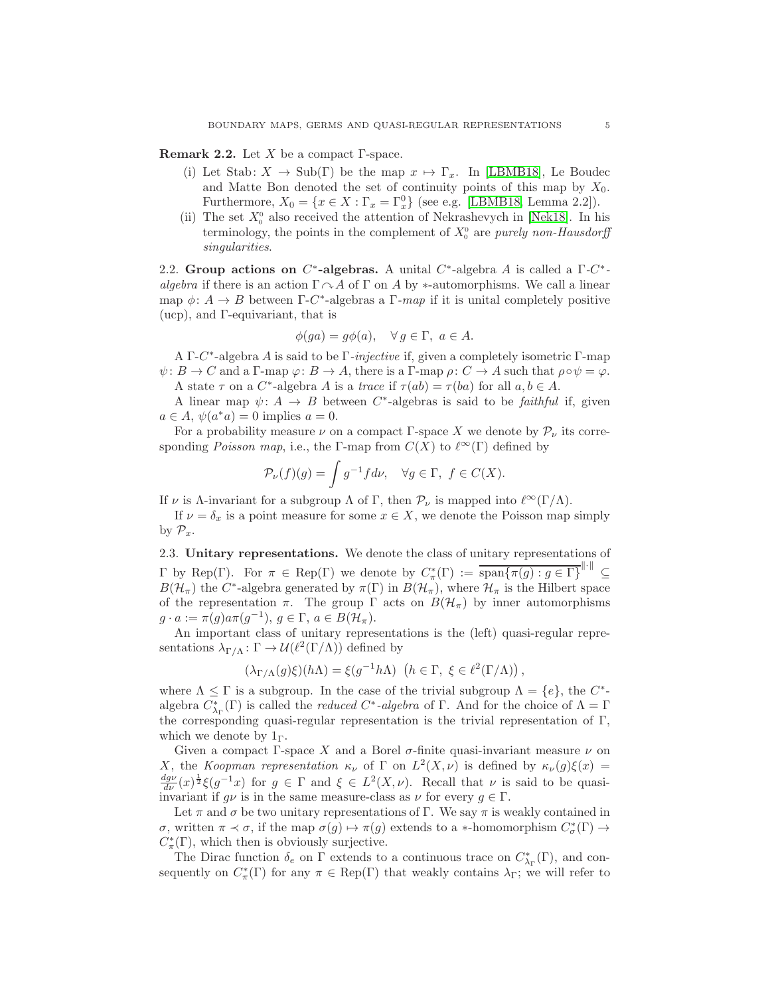<span id="page-4-0"></span>**Remark 2.2.** Let X be a compact  $\Gamma$ -space.

- (i) Let Stab:  $X \to Sub(\Gamma)$  be the map  $x \mapsto \Gamma_x$ . In [\[LBMB18\]](#page-23-10), Le Boudec and Matte Bon denoted the set of continuity points of this map by  $X_0$ . Furthermore,  $X_0 = \{x \in X : \Gamma_x = \Gamma_x^0\}$  (see e.g. [\[LBMB18,](#page-23-10) Lemma 2.2]).
- (ii) The set  $X_0^0$  also received the attention of Nekrashevych in [\[Nek18\]](#page-23-11). In his terminology, the points in the complement of  $X_0^0$  are purely non-Hausdorff singularities.

2.2. Group actions on  $C^*$ -algebras. A unital  $C^*$ -algebra A is called a  $\Gamma$ - $C^*$ algebra if there is an action  $\Gamma \cap A$  of  $\Gamma$  on A by \*-automorphisms. We call a linear map  $\phi: A \to B$  between  $\Gamma$ -C<sup>\*</sup>-algebras a  $\Gamma$ -map if it is unital completely positive (ucp), and Γ-equivariant, that is

$$
\phi(ga) = g\phi(a), \quad \forall g \in \Gamma, \ a \in A.
$$

A Γ- $C^*$ -algebra A is said to be Γ-injective if, given a completely isometric Γ-map  $\psi: B \to C$  and a Γ-map  $\varphi: B \to A$ , there is a Γ-map  $\rho: C \to A$  such that  $\rho \circ \psi = \varphi$ . A state  $\tau$  on a  $C^*$ -algebra A is a trace if  $\tau(ab) = \tau(ba)$  for all  $a, b \in A$ .

A linear map  $\psi: A \to B$  between C<sup>\*</sup>-algebras is said to be *faithful* if, given  $a \in A$ ,  $\psi(a^*a) = 0$  implies  $a = 0$ .

For a probability measure  $\nu$  on a compact Γ-space X we denote by  $\mathcal{P}_{\nu}$  its corresponding *Poisson map*, i.e., the Γ-map from  $C(X)$  to  $\ell^{\infty}(\Gamma)$  defined by

$$
\mathcal{P}_{\nu}(f)(g) = \int g^{-1} f d\nu, \quad \forall g \in \Gamma, \ f \in C(X).
$$

If  $\nu$  is Λ-invariant for a subgroup  $\Lambda$  of  $\Gamma$ , then  $\mathcal{P}_{\nu}$  is mapped into  $\ell^{\infty}(\Gamma/\Lambda)$ .

If  $\nu = \delta_x$  is a point measure for some  $x \in X$ , we denote the Poisson map simply by  $\mathcal{P}_x$ .

2.3. Unitary representations. We denote the class of unitary representations of  $\Gamma$  by Rep( $\Gamma$ ). For  $\pi \in \text{Rep}(\Gamma)$  we denote by  $C^*_{\pi}(\Gamma) := \overline{\text{span}\{\pi(g) : g \in \Gamma\}}^{\|\cdot\|}$  $B(\mathcal{H}_{\pi})$  the C<sup>\*</sup>-algebra generated by  $\pi(\Gamma)$  in  $B(\mathcal{H}_{\pi})$ , where  $\mathcal{H}_{\pi}$  is the Hilbert space of the representation  $\pi$ . The group  $\Gamma$  acts on  $B(\mathcal{H}_{\pi})$  by inner automorphisms  $g \cdot a := \pi(g)a\pi(g^{-1}), g \in \Gamma, a \in B(\mathcal{H}_\pi).$ 

An important class of unitary representations is the (left) quasi-regular representations  $\lambda_{\Gamma/\Lambda} \colon \Gamma \to \mathcal{U}(\ell^2(\Gamma/\Lambda))$  defined by

$$
(\lambda_{\Gamma/\Lambda}(g)\xi)(h\Lambda) = \xi(g^{-1}h\Lambda) \ \left(h \in \Gamma, \ \xi \in \ell^2(\Gamma/\Lambda)\right),
$$

where  $\Lambda \leq \Gamma$  is a subgroup. In the case of the trivial subgroup  $\Lambda = \{e\}$ , the  $C^*$ algebra  $C^*_{\lambda_{\Gamma}}(\Gamma)$  is called the *reduced*  $C^*$ -*algebra* of  $\Gamma$ . And for the choice of  $\Lambda = \Gamma$ the corresponding quasi-regular representation is the trivial representation of Γ, which we denote by  $1_{\Gamma}$ .

Given a compact Γ-space X and a Borel  $\sigma$ -finite quasi-invariant measure  $\nu$  on X, the Koopman representation  $\kappa_{\nu}$  of  $\Gamma$  on  $L^2(X,\nu)$  is defined by  $\kappa_{\nu}(g)\xi(x) =$  $\frac{dg\nu}{d\nu}(x)^{\frac{1}{2}}\xi(g^{-1}x)$  for  $g \in \Gamma$  and  $\xi \in L^2(X,\nu)$ . Recall that  $\nu$  is said to be quasiinvariant if  $g\nu$  is in the same measure-class as  $\nu$  for every  $g \in \Gamma$ .

Let  $\pi$  and  $\sigma$  be two unitary representations of Γ. We say  $\pi$  is weakly contained in σ, written π  $\prec$  σ, if the map  $\sigma(g) \mapsto \pi(g)$  extends to a ∗-homomorphism  $C^*_{\sigma}(\Gamma) \to$  $C^*_\pi(\Gamma)$ , which then is obviously surjective.

The Dirac function  $\delta_e$  on  $\Gamma$  extends to a continuous trace on  $C^*_{\lambda_{\Gamma}}(\Gamma)$ , and consequently on  $C^*_\pi(\Gamma)$  for any  $\pi \in \text{Rep}(\Gamma)$  that weakly contains  $\lambda_{\Gamma}$ ; we will refer to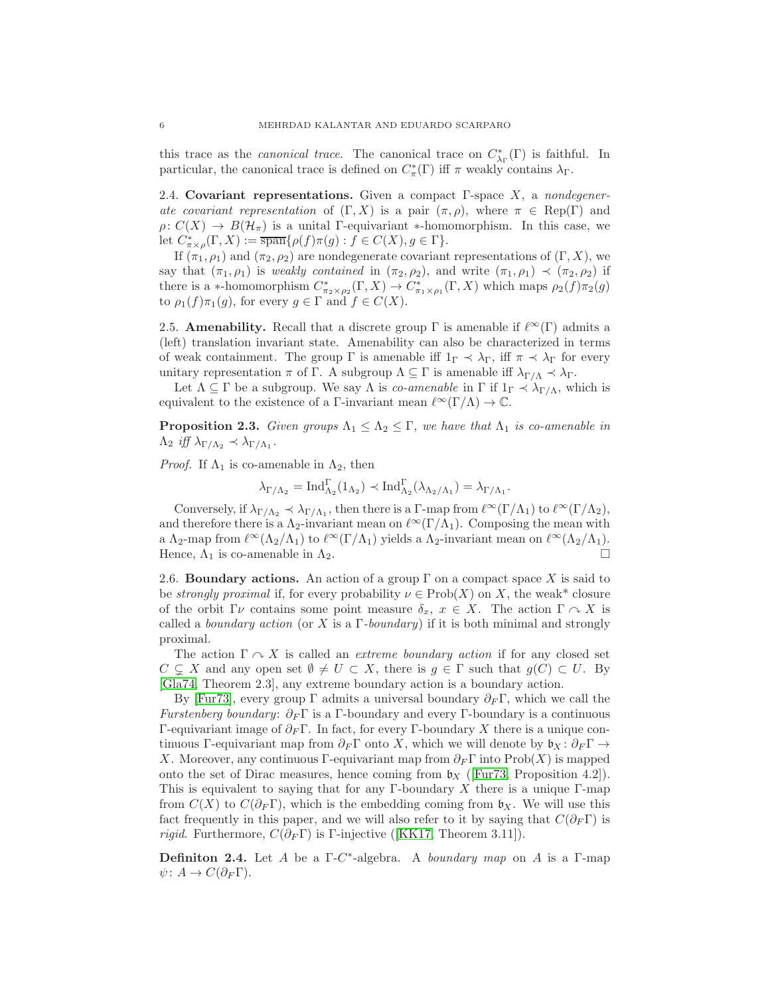<span id="page-5-1"></span>this trace as the *canonical trace*. The canonical trace on  $C^*_{\lambda_{\Gamma}}(\Gamma)$  is faithful. In particular, the canonical trace is defined on  $C^*_\pi(\Gamma)$  iff  $\pi$  weakly contains  $\lambda_{\Gamma}$ .

2.4. Covariant representations. Given a compact  $\Gamma$ -space  $X$ , a nondegenerate covariant representation of  $(\Gamma, X)$  is a pair  $(\pi, \rho)$ , where  $\pi \in \text{Rep}(\Gamma)$  and  $\rho: C(X) \to B(\mathcal{H}_\pi)$  is a unital Γ-equivariant \*-homomorphism. In this case, we let  $C^*_{\pi \times \rho}(\Gamma, X) := \overline{\text{span}}\{\rho(f)\pi(g) : f \in C(X), g \in \Gamma\}.$ 

If  $(\pi_1, \rho_1)$  and  $(\pi_2, \rho_2)$  are nondegenerate covariant representations of  $(\Gamma, X)$ , we say that  $(\pi_1, \rho_1)$  is weakly contained in  $(\pi_2, \rho_2)$ , and write  $(\pi_1, \rho_1) \prec (\pi_2, \rho_2)$  if there is a \*-homomorphism  $C^*_{\pi_2\times\rho_2}(\Gamma,X)\to C^*_{\pi_1\times\rho_1}(\Gamma,X)$  which maps  $\rho_2(f)\pi_2(g)$ to  $\rho_1(f)\pi_1(g)$ , for every  $g \in \Gamma$  and  $f \in C(X)$ .

2.5. **Amenability.** Recall that a discrete group  $\Gamma$  is amenable if  $\ell^{\infty}(\Gamma)$  admits a (left) translation invariant state. Amenability can also be characterized in terms of weak containment. The group  $\Gamma$  is amenable iff  $1_{\Gamma} \prec \lambda_{\Gamma}$ , iff  $\pi \prec \lambda_{\Gamma}$  for every unitary representation  $\pi$  of  $\Gamma$ . A subgroup  $\Lambda \subseteq \Gamma$  is amenable iff  $\lambda_{\Gamma/\Lambda} \prec \lambda_{\Gamma}$ .

<span id="page-5-0"></span>Let  $\Lambda \subseteq \Gamma$  be a subgroup. We say  $\Lambda$  is *co-amenable* in  $\Gamma$  if  $1_{\Gamma} \prec \lambda_{\Gamma/\Lambda}$ , which is equivalent to the existence of a Γ-invariant mean  $\ell^{\infty}(\Gamma/\Lambda) \to \mathbb{C}$ .

**Proposition 2.3.** Given groups  $\Lambda_1 \leq \Lambda_2 \leq \Gamma$ , we have that  $\Lambda_1$  is co-amenable in  $\Lambda_2$  iff  $\lambda_{\Gamma/\Lambda_2} \prec \lambda_{\Gamma/\Lambda_1}$ .

*Proof.* If  $\Lambda_1$  is co-amenable in  $\Lambda_2$ , then

$$
\lambda_{\Gamma/\Lambda_2} = \operatorname{Ind}_{\Lambda_2}^{\Gamma}(\mathbb{1}_{\Lambda_2}) \prec \operatorname{Ind}_{\Lambda_2}^{\Gamma}(\lambda_{\Lambda_2/\Lambda_1}) = \lambda_{\Gamma/\Lambda_1}.
$$

Conversely, if  $\lambda_{\Gamma/\Lambda_2} \prec \lambda_{\Gamma/\Lambda_1}$ , then there is a  $\Gamma$ -map from  $\ell^{\infty}(\Gamma/\Lambda_1)$  to  $\ell^{\infty}(\Gamma/\Lambda_2)$ , and therefore there is a  $\Lambda_2$ -invariant mean on  $\ell^{\infty}(\Gamma/\Lambda_1)$ . Composing the mean with a  $\Lambda_2$ -map from  $\ell^{\infty}(\Lambda_2/\Lambda_1)$  to  $\ell^{\infty}(\Gamma/\Lambda_1)$  yields a  $\Lambda_2$ -invariant mean on  $\ell^{\infty}(\Lambda_2/\Lambda_1)$ . Hence,  $\Lambda_1$  is co-amenable in  $\Lambda_2$ .

2.6. Boundary actions. An action of a group  $\Gamma$  on a compact space X is said to be *strongly proximal* if, for every probability  $\nu \in \text{Prob}(X)$  on X, the weak\* closure of the orbit  $\Gamma \nu$  contains some point measure  $\delta_x, x \in X$ . The action  $\Gamma \cap X$  is called a *boundary action* (or X is a Γ-boundary) if it is both minimal and strongly proximal.

The action  $\Gamma \curvearrowright X$  is called an *extreme boundary action* if for any closed set  $C \subseteq X$  and any open set  $\emptyset \neq U \subset X$ , there is  $g \in \Gamma$  such that  $g(C) \subset U$ . By [\[Gla74,](#page-23-12) Theorem 2.3], any extreme boundary action is a boundary action.

By [\[Fur73\]](#page-23-13), every group  $\Gamma$  admits a universal boundary  $\partial_F \Gamma$ , which we call the Furstenberg boundary:  $\partial_F \Gamma$  is a Γ-boundary and every Γ-boundary is a continuous Γ-equivariant image of  $\partial_F \Gamma$ . In fact, for every Γ-boundary X there is a unique continuous Γ-equivariant map from  $\partial_F \Gamma$  onto X, which we will denote by  $\mathfrak{b}_X : \partial_F \Gamma \to$ X. Moreover, any continuous Γ-equivariant map from  $\partial_F \Gamma$  into Prob(X) is mapped onto the set of Dirac measures, hence coming from  $\mathfrak{b}_X$  ([\[Fur73,](#page-23-13) Proposition 4.2]). This is equivalent to saying that for any Γ-boundary X there is a unique Γ-map from  $C(X)$  to  $C(\partial_F \Gamma)$ , which is the embedding coming from  $\mathfrak{b}_X$ . We will use this fact frequently in this paper, and we will also refer to it by saying that  $C(\partial_F \Gamma)$  is *rigid.*Furthermore,  $C(\partial_F \Gamma)$  is Γ-injective ([\[KK17,](#page-23-0) Theorem 3.11]).

**Definiton 2.4.** Let A be a  $\Gamma$ -C<sup>\*</sup>-algebra. A *boundary map* on A is a  $\Gamma$ -map  $\psi\colon A\to C(\partial_F\Gamma).$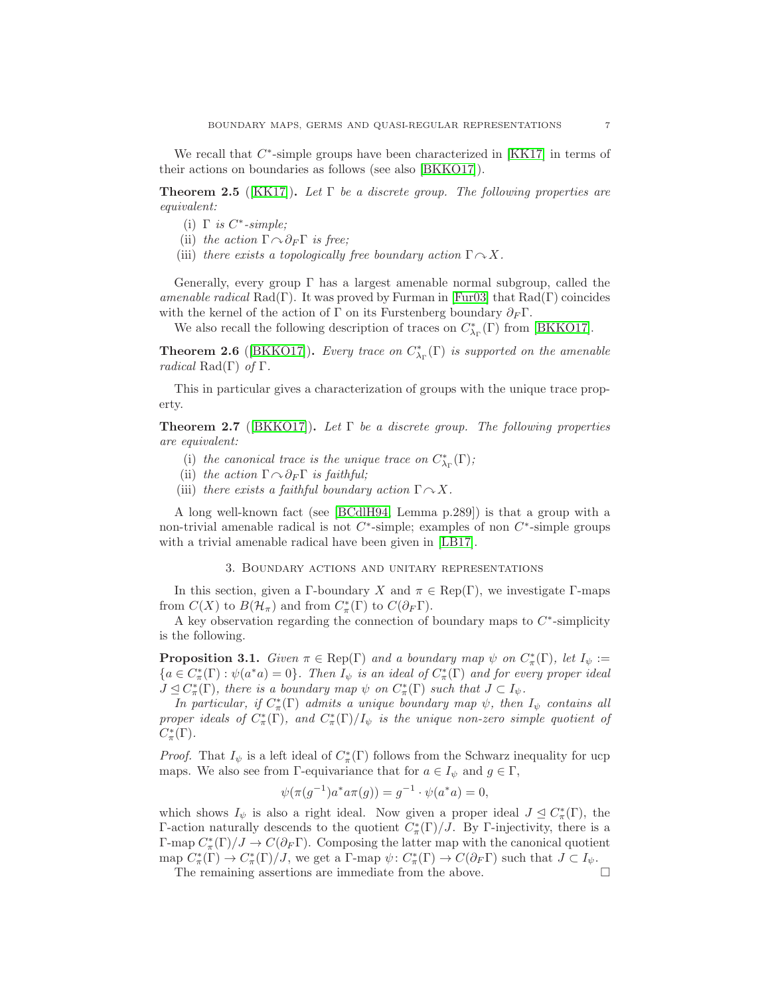<span id="page-6-4"></span><span id="page-6-3"></span>We recall that  $C^*$ -simple groups have been characterized in [\[KK17\]](#page-23-0) in terms of their actions on boundaries as follows (see also [\[BKKO17\]](#page-22-0)).

**Theorem 2.5** ([\[KK17\]](#page-23-0)). Let  $\Gamma$  be a discrete group. The following properties are equivalent:

- (i)  $\Gamma$  is  $C^*$ -simple;
- (ii) the action  $\Gamma \cap \partial_F \Gamma$  is free;
- (iii) there exists a topologically free boundary action  $\Gamma \cap X$ .

Generally, every group  $\Gamma$  has a largest amenable normal subgroup, called the amenable radical  $Rad(\Gamma)$ . It was proved by Furman in [\[Fur03\]](#page-23-14) that  $Rad(\Gamma)$  coincides with the kernel of the action of Γ on its Furstenberg boundary  $\partial_F \Gamma$ .

<span id="page-6-1"></span>We also recall the following description of traces on  $C^*_{\lambda_{\Gamma}}(\Gamma)$  from [\[BKKO17\]](#page-22-0).

**Theorem 2.6** ([\[BKKO17\]](#page-22-0)). Every trace on  $C^*_{\lambda_{\Gamma}}(\Gamma)$  is supported on the amenable radical Rad(Γ) of  $\Gamma$ .

This in particular gives a characterization of groups with the unique trace property.

**Theorem 2.7** ([\[BKKO17\]](#page-22-0)). Let  $\Gamma$  be a discrete group. The following properties are equivalent:

- (i) the canonical trace is the unique trace on  $C^*_{\lambda_{\Gamma}}(\Gamma);$
- (ii) the action  $\Gamma \cap \partial_F \Gamma$  is faithful;
- (iii) there exists a faithful boundary action  $\Gamma \cap X$ .

A long well-known fact (see [\[BCdlH94,](#page-22-6) Lemma p.289]) is that a group with a non-trivial amenable radical is not  $C^*$ -simple; examples of non  $C^*$ -simple groups with a trivial amenable radical have been given in [\[LB17\]](#page-23-15).

## 3. Boundary actions and unitary representations

<span id="page-6-0"></span>In this section, given a Γ-boundary X and  $\pi \in \text{Rep}(\Gamma)$ , we investigate Γ-maps from  $C(X)$  to  $B(\mathcal{H}_{\pi})$  and from  $C^*_{\pi}(\Gamma)$  to  $C(\partial_F \Gamma)$ .

<span id="page-6-2"></span>A key observation regarding the connection of boundary maps to  $C^*$ -simplicity is the following.

**Proposition 3.1.** Given  $\pi \in \text{Rep}(\Gamma)$  and a boundary map  $\psi$  on  $C^*_{\pi}(\Gamma)$ , let  $I_{\psi} :=$  ${a \in C^*_\pi(\Gamma) : \psi(a^*a) = 0}.$  Then  $I_\psi$  is an ideal of  $C^*_\pi(\Gamma)$  and for every proper ideal  $J \trianglelefteq C^*_{\pi}(\Gamma)$ , there is a boundary map  $\psi$  on  $C^*_{\pi}(\Gamma)$  such that  $J \subset I_{\psi}$ .

In particular, if  $C^*_{\pi}(\Gamma)$  admits a unique boundary map  $\psi$ , then  $I_{\psi}$  contains all proper ideals of  $C^*_\pi(\Gamma)$ , and  $C^*_\pi(\Gamma)/I_\psi$  is the unique non-zero simple quotient of  $C^*_\pi(\Gamma)$ .

*Proof.* That  $I_{\psi}$  is a left ideal of  $C_{\pi}^{*}(\Gamma)$  follows from the Schwarz inequality for ucp maps. We also see from Γ-equivariance that for  $a \in I_{\psi}$  and  $g \in \Gamma$ ,

$$
\psi(\pi(g^{-1})a^*a\pi(g)) = g^{-1} \cdot \psi(a^*a) = 0,
$$

which shows  $I_{\psi}$  is also a right ideal. Now given a proper ideal  $J \subseteq C^*_{\pi}(\Gamma)$ , the Γ-action naturally descends to the quotient  $C^*_{\pi}(\Gamma)/J$ . By Γ-injectivity, there is a Γ-map  $C^*_{\pi}(\Gamma)/J \to C(\partial_F \Gamma)$ . Composing the latter map with the canonical quotient map  $C^*_{\pi}(\Gamma) \to C^*_{\pi}(\Gamma)/J$ , we get a  $\Gamma$ -map  $\psi: C^*_{\pi}(\Gamma) \to C(\partial_F \Gamma)$  such that  $J \subset I_{\psi}$ .

The remaining assertions are immediate from the above.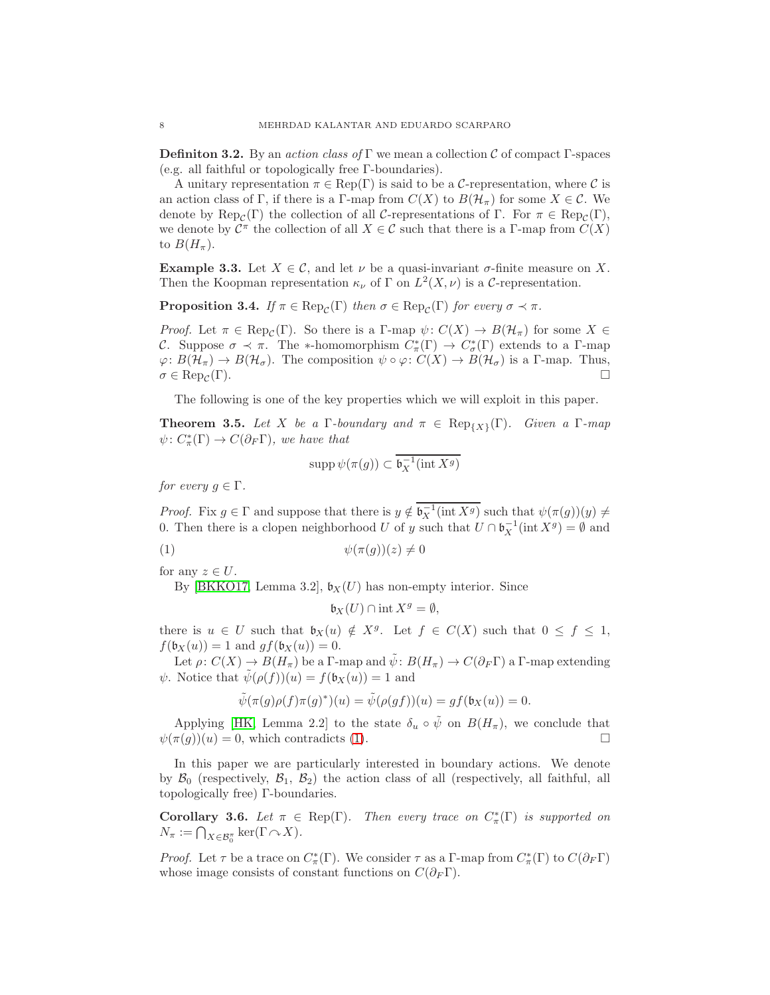<span id="page-7-4"></span>**Definition 3.2.** By an *action class of* Γ we mean a collection C of compact Γ-spaces (e.g. all faithful or topologically free Γ-boundaries).

A unitary representation  $\pi \in \text{Rep}(\Gamma)$  is said to be a C-representation, where C is an action class of Γ, if there is a Γ-map from  $C(X)$  to  $B(\mathcal{H}_{\pi})$  for some  $X \in \mathcal{C}$ . We denote by  $\text{Rep}_{\mathcal{C}}(\Gamma)$  the collection of all C-representations of  $\Gamma$ . For  $\pi \in \text{Rep}_{\mathcal{C}}(\Gamma)$ , we denote by  $\mathcal{C}^{\pi}$  the collection of all  $X \in \mathcal{C}$  such that there is a  $\Gamma$ -map from  $C(X)$ to  $B(H_\pi)$ .

**Example 3.3.** Let  $X \in \mathcal{C}$ , and let  $\nu$  be a quasi-invariant  $\sigma$ -finite measure on X. Then the Koopman representation  $\kappa_{\nu}$  of  $\Gamma$  on  $L^2(X, \nu)$  is a C-representation.

<span id="page-7-3"></span>**Proposition 3.4.** If  $\pi \in \text{Rep}_{\mathcal{C}}(\Gamma)$  then  $\sigma \in \text{Rep}_{\mathcal{C}}(\Gamma)$  for every  $\sigma \prec \pi$ .

*Proof.* Let  $\pi \in \text{Rep}_{\mathcal{C}}(\Gamma)$ . So there is a  $\Gamma$ -map  $\psi: C(X) \to B(\mathcal{H}_{\pi})$  for some  $X \in$ C. Suppose  $\sigma \prec \pi$ . The \*-homomorphism  $C^*_{\pi}(\Gamma) \to C^*_{\sigma}(\Gamma)$  extends to a  $\Gamma$ -map  $\varphi: B(\mathcal{H}_\tau) \to B(\mathcal{H}_\sigma)$ . The composition  $\psi \circ \varphi: C(X) \to B(\mathcal{H}_\sigma)$  is a Γ-map. Thus,  $\sigma \in \text{Rep}_{\mathcal{C}}(\Gamma).$  $(\Gamma)$ .

<span id="page-7-1"></span>The following is one of the key properties which we will exploit in this paper.

**Theorem 3.5.** Let X be a  $\Gamma$ -boundary and  $\pi \in \text{Rep}_{\{X\}}(\Gamma)$ . Given a  $\Gamma$ -map  $\psi\colon C^*_\pi(\Gamma) \to C(\partial_F \Gamma)$ , we have that

$$
\operatorname{supp} \psi(\pi(g)) \subset \overline{\mathfrak{b}_X^{-1}(\operatorname{int} X^g)}
$$

for every  $q \in \Gamma$ .

*Proof.* Fix  $g \in \Gamma$  and suppose that there is  $y \notin \mathfrak{b}_X^{-1}(\text{int } X^g)$  such that  $\psi(\pi(g))(y) \neq$ 0. Then there is a clopen neighborhood U of y such that  $U \cap \mathfrak{b}_X^{-1}(\text{int } X^g) = \emptyset$  and

$$
(1) \qquad \qquad \psi(\pi(g))(z) \neq 0
$$

for any  $z \in U$ .

By [\[BKKO17,](#page-22-0) Lemma 3.2],  $\mathfrak{b}_X(U)$  has non-empty interior. Since

<span id="page-7-0"></span>
$$
\mathfrak{b}_X(U) \cap \text{int } X^g = \emptyset,
$$

there is  $u \in U$  such that  $\mathfrak{b}_X(u) \notin X^g$ . Let  $f \in C(X)$  such that  $0 \leq f \leq 1$ ,  $f(\mathfrak{b}_X(u)) = 1$  and  $gf(\mathfrak{b}_X(u)) = 0$ .

Let  $\rho: C(X) \to B(H_{\pi})$  be a Γ-map and  $\tilde{\psi}: B(H_{\pi}) \to C(\partial_F \Gamma)$  a Γ-map extending  $\psi$ . Notice that  $\tilde{\psi}(\rho(f))(u) = f(\mathfrak{b}_X(u)) = 1$  and

$$
\tilde{\psi}(\pi(g)\rho(f)\pi(g)^*)(u) = \tilde{\psi}(\rho(gf))(u) = gf(\mathfrak{b}_X(u)) = 0.
$$

Applying [\[HK,](#page-23-3) Lemma 2.2] to the state  $\delta_u \circ \tilde{\psi}$  on  $B(H_{\pi})$ , we conclude that  $\psi(\pi(g))(u) = 0$ , which contradicts [\(1\)](#page-7-0).

In this paper we are particularly interested in boundary actions. We denote by  $\mathcal{B}_0$  (respectively,  $\mathcal{B}_1$ ,  $\mathcal{B}_2$ ) the action class of all (respectively, all faithful, all topologically free) Γ-boundaries.

<span id="page-7-2"></span>**Corollary 3.6.** Let  $\pi \in \text{Rep}(\Gamma)$ . Then every trace on  $C^*_{\pi}(\Gamma)$  is supported on  $N_{\pi} := \bigcap_{X \in \mathcal{B}_0^{\pi}} \ker(\Gamma \cap X).$ 

*Proof.* Let  $\tau$  be a trace on  $C^*_{\pi}(\Gamma)$ . We consider  $\tau$  as a  $\Gamma$ -map from  $C^*_{\pi}(\Gamma)$  to  $C(\partial_F \Gamma)$ whose image consists of constant functions on  $C(\partial_F \Gamma)$ .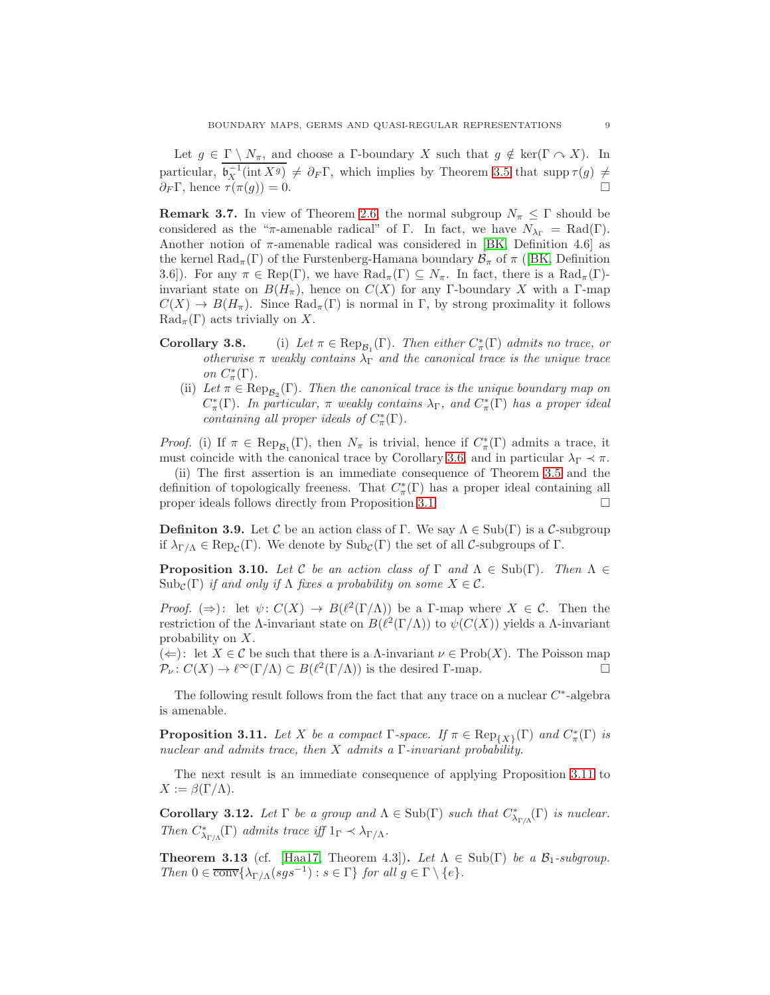<span id="page-8-3"></span>Let  $g \in \Gamma \setminus N_{\pi}$ , and choose a Γ-boundary X such that  $g \notin \text{ker}(\Gamma \cap X)$ . In particular,  $\mathfrak{b}_X^{-1}(\text{int } X^g) \neq \partial_F \Gamma$ , which implies by Theorem [3.5](#page-7-1) that supp  $\tau(g) \neq$  $\partial_F \Gamma$ , hence  $\tau(\pi(g)) = 0$ .

**Remark 3.7.** In view of Theorem [2.6,](#page-6-1) the normal subgroup  $N_\pi \leq \Gamma$  should be considered as the "π-amenable radical" of Γ. In fact, we have  $N_{\lambda_{\Gamma}} = \text{Rad}(\Gamma)$ . Another notion of  $\pi$ -amenable radical was considered in [\[BK,](#page-22-3) Definition 4.6] as the kernel  $\text{Rad}_{\pi}(\Gamma)$  of the Furstenberg-Hamana boundary  $\mathcal{B}_{\pi}$  of  $\pi$  ([\[BK,](#page-22-3) Definition 3.6]). For any  $\pi \in \text{Rep}(\Gamma)$ , we have  $\text{Rad}_{\pi}(\Gamma) \subseteq N_{\pi}$ . In fact, there is a  $\text{Rad}_{\pi}(\Gamma)$ invariant state on  $B(H_\pi)$ , hence on  $C(X)$  for any Γ-boundary X with a Γ-map  $C(X) \to B(H_\pi)$ . Since  $\text{Rad}_{\pi}(\Gamma)$  is normal in  $\Gamma$ , by strong proximality it follows  $\text{Rad}_{\pi}(\Gamma)$  acts trivially on X.

- <span id="page-8-2"></span>**Corollary 3.8.** (i) Let  $\pi \in \text{Rep}_{\mathcal{B}_1}(\Gamma)$ . Then either  $C^*_{\pi}(\Gamma)$  admits no trace, or otherwise  $\pi$  weakly contains  $\lambda_{\Gamma}$  and the canonical trace is the unique trace on  $C^*_\pi(\Gamma)$ .
	- (ii) Let  $\pi \in \text{Rep}_{\mathcal{B}_2}(\Gamma)$ . Then the canonical trace is the unique boundary map on  $C^*_\pi(\Gamma)$ . In particular,  $\pi$  weakly contains  $\lambda_{\Gamma}$ , and  $C^*_\pi(\Gamma)$  has a proper ideal containing all proper ideals of  $C^*_\pi(\Gamma)$ .

*Proof.* (i) If  $\pi \in \text{Rep}_{\mathcal{B}_1}(\Gamma)$ , then  $N_{\pi}$  is trivial, hence if  $C^*_{\pi}(\Gamma)$  admits a trace, it must coincide with the canonical trace by Corollary [3.6,](#page-7-2) and in particular  $\lambda_{\Gamma} \prec \pi$ .

(ii) The first assertion is an immediate consequence of Theorem [3.5](#page-7-1) and the definition of topologically freeness. That  $C^*_\pi(\Gamma)$  has a proper ideal containing all proper ideals follows directly from Proposition [3.1.](#page-6-2)

**Definiton 3.9.** Let C be an action class of Γ. We say  $\Lambda \in \text{Sub}(\Gamma)$  is a C-subgroup if  $\lambda_{\Gamma/\Lambda} \in \text{Rep}_{\mathcal{C}}(\Gamma)$ . We denote by  $\text{Sub}_{\mathcal{C}}(\Gamma)$  the set of all  $\mathcal{C}\text{-subgroups of }\Gamma$ .

<span id="page-8-1"></span>**Proposition 3.10.** Let C be an action class of  $\Gamma$  and  $\Lambda \in \text{Sub}(\Gamma)$ . Then  $\Lambda \in$  $\text{Sub}_{\mathcal{C}}(\Gamma)$  if and only if  $\Lambda$  fixes a probability on some  $X \in \mathcal{C}$ .

*Proof.*  $(\Rightarrow)$ : let  $\psi: C(X) \to B(\ell^2(\Gamma/\Lambda))$  be a *Γ*-map where  $X \in \mathcal{C}$ . Then the restriction of the  $\Lambda$ -invariant state on  $B(\ell^2(\Gamma/\Lambda))$  to  $\psi(C(X))$  yields a  $\Lambda$ -invariant probability on X.

 $(\Leftarrow):$  let  $X \in \mathcal{C}$  be such that there is a  $\Lambda$ -invariant  $\nu \in \mathrm{Prob}(X)$ . The Poisson map  $\mathcal{P}_{\nu}: C(X) \to \ell^{\infty}(\Gamma/\Lambda) \subset B(\ell^{2}(\Gamma/\Lambda))$  is the desired  $\Gamma$ -map.

<span id="page-8-0"></span>The following result follows from the fact that any trace on a nuclear  $C^*$ -algebra is amenable.

**Proposition 3.11.** Let X be a compact  $\Gamma$ -space. If  $\pi \in \text{Rep}_{\{X\}}(\Gamma)$  and  $C^*_{\pi}(\Gamma)$  is nuclear and admits trace, then X admits a  $\Gamma$ -invariant probability.

The next result is an immediate consequence of applying Proposition [3.11](#page-8-0) to  $X := \beta(\Gamma/\Lambda).$ 

**Corollary 3.12.** Let  $\Gamma$  be a group and  $\Lambda \in \text{Sub}(\Gamma)$  such that  $C^*_{\lambda_{\Gamma/\Lambda}}(\Gamma)$  is nuclear. Then  $C^*_{\lambda_{\Gamma/\Lambda}}(\Gamma)$  admits trace iff  $1_{\Gamma} \prec \lambda_{\Gamma/\Lambda}$ .

**Theorem 3.13** (cf. [\[Haa17,](#page-23-1) Theorem 4.3]). Let  $\Lambda \in \text{Sub}(\Gamma)$  be a  $\mathcal{B}_1$ -subgroup. Then  $0 \in \overline{\text{conv}}\{\lambda_{\Gamma/\Lambda}(sgs^{-1}) : s \in \Gamma\}$  for all  $g \in \Gamma \setminus \{e\}.$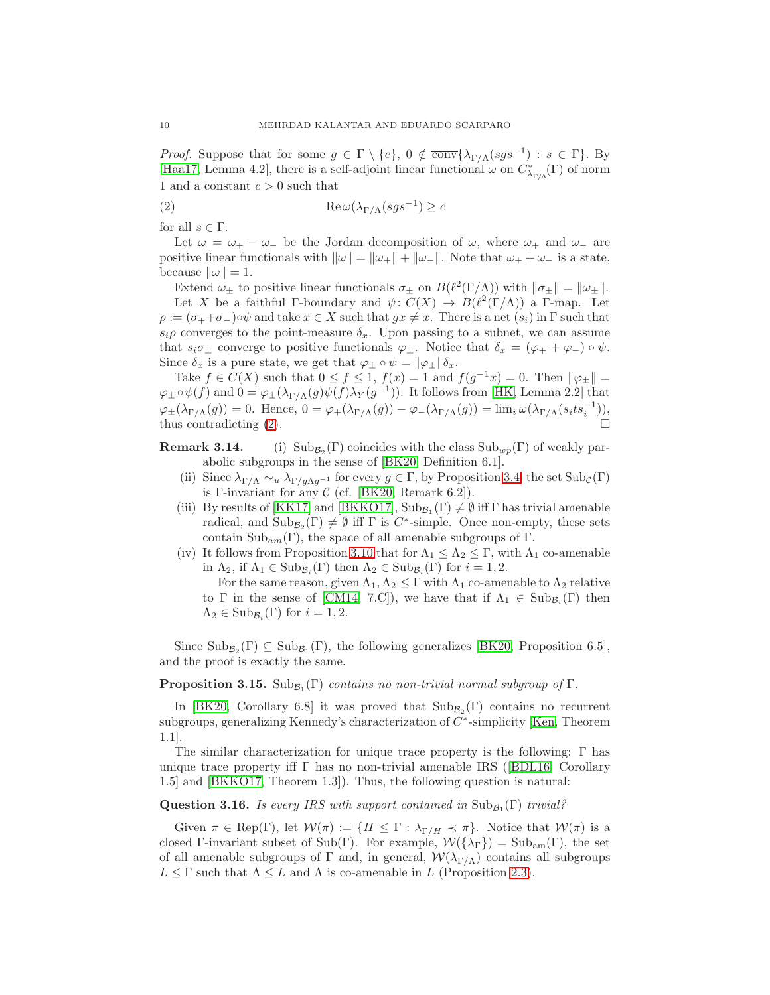<span id="page-9-2"></span>*Proof.* Suppose that for some  $g \in \Gamma \setminus \{e\}$ ,  $0 \notin \overline{\text{conv}}\{\lambda_{\Gamma/\Lambda}(sgs^{-1}) : s \in \Gamma\}$ . By [\[Haa17,](#page-23-1) Lemma 4.2], there is a self-adjoint linear functional  $\omega$  on  $C^*_{\lambda_{\Gamma/\Lambda}}(\Gamma)$  of norm 1 and a constant  $c > 0$  such that

<span id="page-9-0"></span>(2) 
$$
\operatorname{Re}\omega(\lambda_{\Gamma/\Lambda}(sgs^{-1}) \geq c
$$

for all  $s \in \Gamma$ .

Let  $\omega = \omega_+ - \omega_-$  be the Jordan decomposition of  $\omega$ , where  $\omega_+$  and  $\omega_-$  are positive linear functionals with  $\|\omega\| = \|\omega_+\| + \|\omega_-\|$ . Note that  $\omega_+ + \omega_-$  is a state, because  $\|\omega\| = 1$ .

Extend  $\omega_{\pm}$  to positive linear functionals  $\sigma_{\pm}$  on  $B(\ell^2(\Gamma/\Lambda))$  with  $\|\sigma_{\pm}\| = \|\omega_{\pm}\|$ . Let X be a faithful Γ-boundary and  $\psi: C(X) \to B(\ell^2(\Gamma/\Lambda))$  a Γ-map. Let  $\rho := (\sigma_+ + \sigma_-)\circ\psi$  and take  $x \in X$  such that  $gx \neq x$ . There is a net  $(s_i)$  in  $\Gamma$  such that  $s_i \rho$  converges to the point-measure  $\delta_x$ . Upon passing to a subnet, we can assume that  $s_i\sigma_{\pm}$  converge to positive functionals  $\varphi_{\pm}$ . Notice that  $\delta_x = (\varphi_+ + \varphi_-) \circ \psi$ . Since  $\delta_x$  is a pure state, we get that  $\varphi_{\pm} \circ \psi = ||\varphi_{\pm}|| \delta_x$ .

Take  $f \in C(X)$  such that  $0 \le f \le 1$ ,  $f(x) = 1$  and  $f(g^{-1}x) = 0$ . Then  $\|\varphi_{\pm}\|$  $\varphi_{\pm} \circ \psi(f)$  and  $0 = \varphi_{\pm}(\lambda_{\Gamma/\Lambda}(g)\psi(f)\lambda_Y(g^{-1}))$ . It follows from [\[HK,](#page-23-3) Lemma 2.2] that  $\varphi_{\pm}(\lambda_{\Gamma/\Lambda}(g)) = 0.$  Hence,  $0 = \varphi_{+}(\lambda_{\Gamma/\Lambda}(g)) - \varphi_{-}(\lambda_{\Gamma/\Lambda}(g)) = \lim_{i} \omega(\lambda_{\Gamma/\Lambda}(s_i t s_i^{-1})),$ thus contradicting [\(2\)](#page-9-0).

Remark 3.14. (i)  $\text{Sub}_{\mathcal{B}_2}(\Gamma)$  coincides with the class  $\text{Sub}_{wp}(\Gamma)$  of weakly parabolic subgroups in the sense of [\[BK20,](#page-22-2) Definition 6.1].

- (ii) Since  $\lambda_{\Gamma/\Lambda} \sim_u \lambda_{\Gamma/q\Lambda q^{-1}}$  for every  $g \in \Gamma$ , by Proposition [3.4,](#page-7-3) the set  $\text{Sub}_{\mathcal{C}}(\Gamma)$ is Γ-invariant for any  $C$  (cf. [\[BK20,](#page-22-2) Remark 6.2]).
- (iii) By results of [\[KK17\]](#page-23-0) and [\[BKKO17\]](#page-22-0),  $\text{Sub}_{\mathcal{B}_1}(\Gamma) \neq \emptyset$  iff  $\Gamma$  has trivial amenable radical, and  $\text{Sub}_{\mathcal{B}_2}(\Gamma) \neq \emptyset$  iff  $\Gamma$  is C<sup>\*</sup>-simple. Once non-empty, these sets contain  $\text{Sub}_{am}(\Gamma)$ , the space of all amenable subgroups of  $\Gamma$ .
- (iv) It follows from Proposition [3.10](#page-8-1) that for  $\Lambda_1 \leq \Lambda_2 \leq \Gamma$ , with  $\Lambda_1$  co-amenable in  $\Lambda_2$ , if  $\Lambda_1 \in \text{Sub}_{\mathcal{B}_i}(\Gamma)$  then  $\Lambda_2 \in \text{Sub}_{\mathcal{B}_i}(\Gamma)$  for  $i = 1, 2$ .

For the same reason, given  $\Lambda_1, \Lambda_2 \leq \Gamma$  with  $\Lambda_1$  co-amenable to  $\Lambda_2$  relative to  $\Gamma$  in the sense of [\[CM14,](#page-23-16) 7.C]), we have that if  $\Lambda_1 \in Sub_{\mathcal{B}_i}(\Gamma)$  then  $\Lambda_2 \in \text{Sub}_{\mathcal{B}_i}(\Gamma)$  for  $i = 1, 2$ .

Since  $\text{Sub}_{\mathcal{B}_2}(\Gamma) \subseteq \text{Sub}_{\mathcal{B}_1}(\Gamma)$ , the following generalizes [\[BK20,](#page-22-2) Proposition 6.5], and the proof is exactly the same.

## **Proposition 3.15.**  $\text{Sub}_{\mathcal{B}_1}(\Gamma)$  contains no non-trivial normal subgroup of  $\Gamma$ .

In [\[BK20,](#page-22-2) Corollary 6.8] it was proved that  $\text{Sub}_{\mathcal{B}_2}(\Gamma)$  contains no recurrent subgroups, generalizing Kennedy's characterization of  $C^*$ -simplicity [\[Ken,](#page-23-2) Theorem 1.1].

The similar characterization for unique trace property is the following: Γ has uniquetrace property iff  $\Gamma$  has no non-trivial amenable IRS ([\[BDL16,](#page-22-7) Corollary 1.5] and [\[BKKO17,](#page-22-0) Theorem 1.3]). Thus, the following question is natural:

## **Question 3.16.** Is every IRS with support contained in  $\text{Sub}_{\mathcal{B}_1}(\Gamma)$  trivial?

<span id="page-9-1"></span>Given  $\pi \in \text{Rep}(\Gamma)$ , let  $\mathcal{W}(\pi) := \{H \leq \Gamma : \lambda_{\Gamma/H} \prec \pi\}$ . Notice that  $\mathcal{W}(\pi)$  is a closed Γ-invariant subset of Sub(Γ). For example,  $W({\lambda}_{\Gamma}) = Sub_{am}(\Gamma)$ , the set of all amenable subgroups of Γ and, in general,  $\mathcal{W}(\lambda_{\Gamma/\Lambda})$  contains all subgroups  $L \leq \Gamma$  such that  $\Lambda \leq L$  and  $\Lambda$  is co-amenable in L (Proposition [2.3\)](#page-5-0).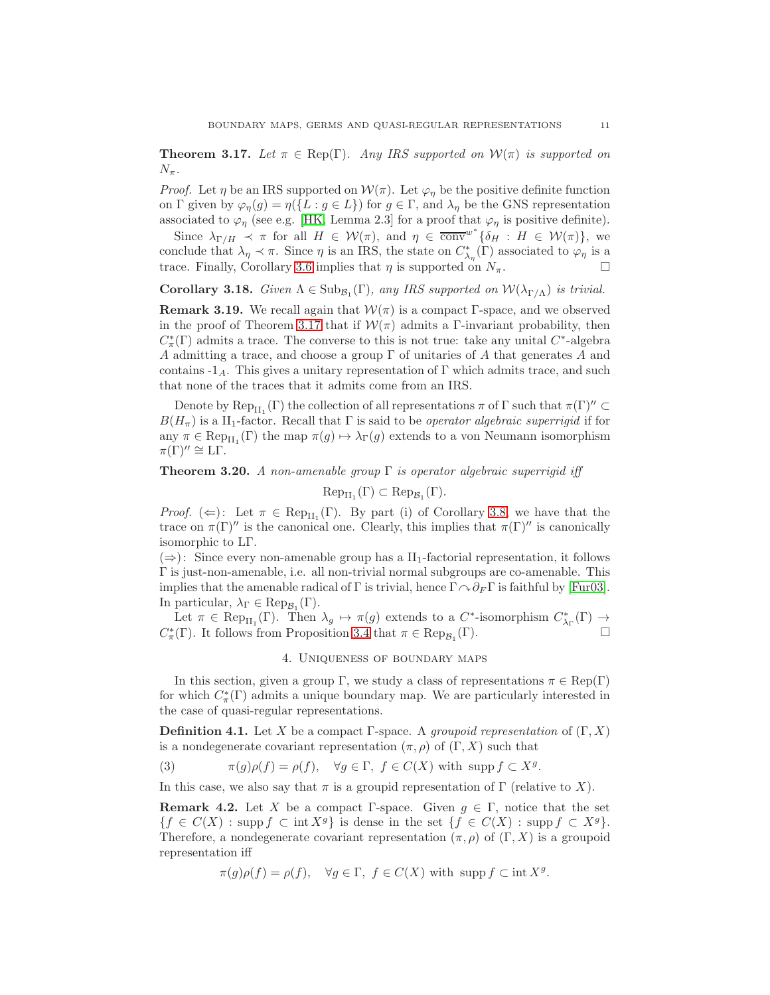<span id="page-10-4"></span>**Theorem 3.17.** Let  $\pi \in \text{Rep}(\Gamma)$ . Any IRS supported on  $\mathcal{W}(\pi)$  is supported on  $N_{\pi}$ .

*Proof.* Let  $\eta$  be an IRS supported on  $\mathcal{W}(\pi)$ . Let  $\varphi_{\eta}$  be the positive definite function on Γ given by  $\varphi_{\eta}(g) = \eta(\lbrace L : g \in L \rbrace)$  for  $g \in \Gamma$ , and  $\lambda_{\eta}$  be the GNS representation associated to  $\varphi_{\eta}$  (see e.g. [\[HK,](#page-23-3) Lemma 2.3] for a proof that  $\varphi_{\eta}$  is positive definite).

Since  $\lambda_{\Gamma/H} \prec \pi$  for all  $H \in \mathcal{W}(\pi)$ , and  $\eta \in \overline{\text{conv}}^{w^*} \{ \delta_H : H \in \mathcal{W}(\pi) \}$ , we conclude that  $\lambda_{\eta} \prec \pi$ . Since  $\eta$  is an IRS, the state on  $C^*_{\lambda_{\eta}}(\Gamma)$  associated to  $\varphi_{\eta}$  is a trace. Finally, Corollary [3.6](#page-7-2) implies that  $\eta$  is supported on  $N_{\pi}$ .

**Corollary 3.18.** Given  $\Lambda \in \text{Sub}_{\mathcal{B}_1}(\Gamma)$ , any IRS supported on  $\mathcal{W}(\lambda_{\Gamma/\Lambda})$  is trivial.

**Remark 3.19.** We recall again that  $W(\pi)$  is a compact Γ-space, and we observed in the proof of Theorem [3.17](#page-9-1) that if  $\mathcal{W}(\pi)$  admits a Γ-invariant probability, then  $C^*_\pi(\Gamma)$  admits a trace. The converse to this is not true: take any unital  $C^*$ -algebra A admitting a trace, and choose a group  $\Gamma$  of unitaries of A that generates A and contains  $-1_A$ . This gives a unitary representation of Γ which admits trace, and such that none of the traces that it admits come from an IRS.

Denote by  ${\rm Rep}_{H_1}(\Gamma)$  the collection of all representations  $\pi$  of  $\Gamma$  such that  $\pi(\Gamma)'' \subset$  $B(H_\pi)$  is a II<sub>1</sub>-factor. Recall that  $\Gamma$  is said to be *operator algebraic superrigid* if for any  $\pi \in \text{Rep}_{H_1}(\Gamma)$  the map  $\pi(g) \mapsto \lambda_{\Gamma}(g)$  extends to a von Neumann isomorphism  $\pi(\Gamma)'' \cong \mathbb{L}\Gamma.$ 

# **Theorem 3.20.** A non-amenable group  $\Gamma$  is operator algebraic superrigid iff

 $\mathrm{Rep}_{\mathrm{II}_1}(\Gamma) \subset \mathrm{Rep}_{\mathcal{B}_1}(\Gamma).$ 

*Proof.* ( $\Leftarrow$ ): Let  $\pi \in \text{Rep}_{H_1}(\Gamma)$ . By part (i) of Corollary [3.8,](#page-8-2) we have that the trace on  $\pi(\Gamma)''$  is the canonical one. Clearly, this implies that  $\pi(\Gamma)''$  is canonically isomorphic to LΓ.

 $(\Rightarrow)$ : Since every non-amenable group has a II<sub>1</sub>-factorial representation, it follows Γ is just-non-amenable, i.e. all non-trivial normal subgroups are co-amenable. This implies that the amenable radical of Γ is trivial, hence  $\Gamma \cap \partial_F \Gamma$  is faithful by [\[Fur03\]](#page-23-14). In particular,  $\lambda_{\Gamma} \in \text{Rep}_{\mathcal{B}_1}(\Gamma)$ .

<span id="page-10-1"></span>Let  $\pi \in \text{Rep}_{H_1}(\Gamma)$ . Then  $\lambda_g \mapsto \pi(g)$  extends to a  $C^*$ -isomorphism  $C^*_{\lambda_{\Gamma}}(\Gamma) \to$  $C^*_\pi(\Gamma)$ . It follows from Proposition [3.4](#page-7-3) that  $\pi \in \text{Rep}_{\mathcal{B}_1}(\Gamma)$ .

#### 4. Uniqueness of boundary maps

In this section, given a group Γ, we study a class of representations  $\pi \in \text{Rep}(\Gamma)$ for which  $C^*_{\pi}(\Gamma)$  admits a unique boundary map. We are particularly interested in the case of quasi-regular representations.

<span id="page-10-0"></span>**Definition 4.1.** Let X be a compact Γ-space. A *groupoid representation* of  $(\Gamma, X)$ is a nondegenerate covariant representation  $(\pi, \rho)$  of  $(\Gamma, X)$  such that

<span id="page-10-2"></span>(3) 
$$
\pi(g)\rho(f) = \rho(f), \quad \forall g \in \Gamma, \ f \in C(X) \text{ with } \operatorname{supp} f \subset X^g.
$$

In this case, we also say that  $\pi$  is a groupid representation of  $\Gamma$  (relative to X).

**Remark 4.2.** Let X be a compact Γ-space. Given  $g \in \Gamma$ , notice that the set  ${f \in C(X) : \text{supp } f \subset \text{int } X^g}$  is dense in the set  ${f \in C(X) : \text{supp } f \subset X^g}$ . Therefore, a nondegenerate covariant representation  $(\pi, \rho)$  of  $(\Gamma, X)$  is a groupoid representation iff

<span id="page-10-3"></span>
$$
\pi(g)\rho(f) = \rho(f), \quad \forall g \in \Gamma, \ f \in C(X) \text{ with } \operatorname{supp} f \subset \operatorname{int} X^g.
$$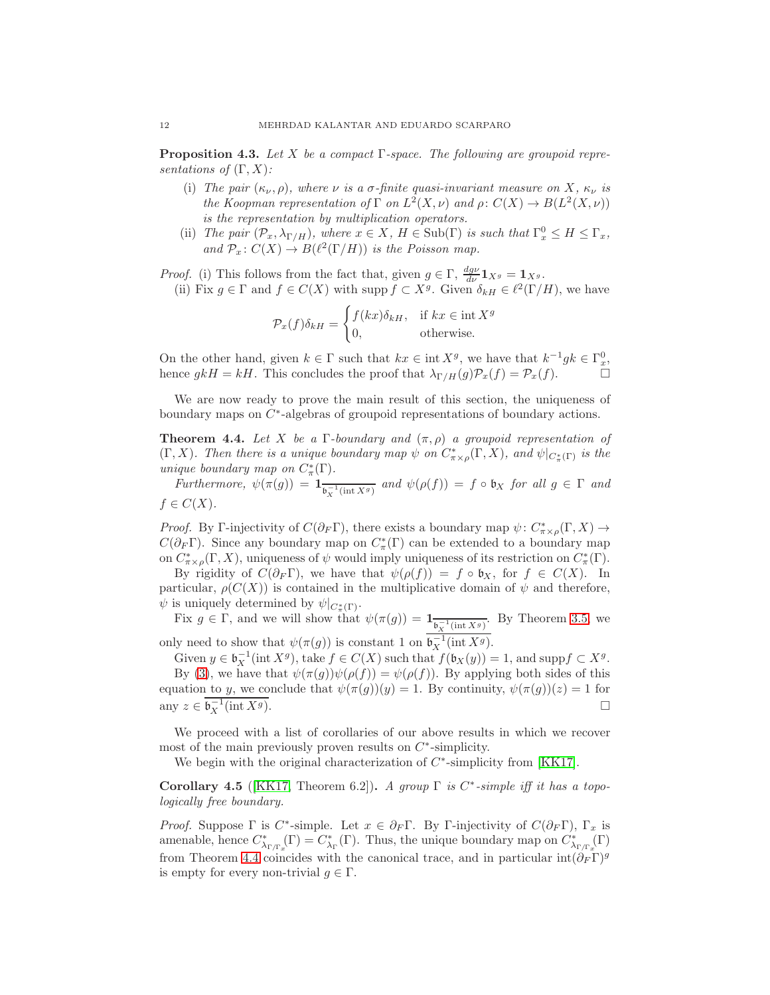<span id="page-11-2"></span>**Proposition 4.3.** Let X be a compact  $\Gamma$ -space. The following are groupoid representations of  $(\Gamma, X)$ :

- (i) The pair  $(\kappa_{\nu}, \rho)$ , where  $\nu$  is a  $\sigma$ -finite quasi-invariant measure on X,  $\kappa_{\nu}$  is the Koopman representation of  $\Gamma$  on  $L^2(X,\nu)$  and  $\rho: C(X) \to B(L^2(X,\nu))$ is the representation by multiplication operators.
- (ii) The pair  $(\mathcal{P}_x, \lambda_{\Gamma/H})$ , where  $x \in X$ ,  $H \in Sub(\Gamma)$  is such that  $\Gamma_x^0 \leq H \leq \Gamma_x$ , and  $\mathcal{P}_x \colon C(X) \to B(\ell^2(\Gamma/H))$  is the Poisson map.

*Proof.* (i) This follows from the fact that, given  $g \in \Gamma$ ,  $\frac{dg\nu}{d\nu} \mathbf{1}_{X^g} = \mathbf{1}_{X^g}$ . (ii) Fix  $g \in \Gamma$  and  $f \in C(X)$  with supp  $f \subset X^g$ . Given  $\delta_{kH} \in \ell^2(\Gamma/H)$ , we have

$$
\mathcal{P}_x(f)\delta_{kH} = \begin{cases} f(kx)\delta_{kH}, & \text{if } kx \in \text{int } X^g \\ 0, & \text{otherwise.} \end{cases}
$$

On the other hand, given  $k \in \Gamma$  such that  $kx \in \text{int } X^g$ , we have that  $k^{-1}gk \in \Gamma_x^0$ , hence  $gkH = kH$ . This concludes the proof that  $\lambda_{\Gamma/H}(g)\mathcal{P}_x(f) = \mathcal{P}_x(f)$ .

<span id="page-11-0"></span>We are now ready to prove the main result of this section, the uniqueness of boundary maps on  $C^*$ -algebras of groupoid representations of boundary actions.

**Theorem 4.4.** Let X be a  $\Gamma$ -boundary and  $(\pi, \rho)$  a groupoid representation of (Γ, X). Then there is a unique boundary map  $\psi$  on  $C^*_{\pi\times\rho}(\Gamma,X)$ , and  $\psi|_{C^*_{\pi}(\Gamma)}$  is the unique boundary map on  $C^*_\pi(\Gamma)$ .

Furthermore,  $\psi(\pi(g)) = \mathbf{1}_{\overline{\mathfrak{b}_X^{-1}(\text{int }X^g)}}$  and  $\psi(\rho(f)) = f \circ \mathfrak{b}_X$  for all  $g \in \Gamma$  and  $f \in C(X)$ .

*Proof.* By Γ-injectivity of  $C(\partial_F \Gamma)$ , there exists a boundary map  $\psi: C^*_{\pi \times \rho}(\Gamma, X) \to$  $C(\partial_F \Gamma)$ . Since any boundary map on  $C^*_\pi(\Gamma)$  can be extended to a boundary map on  $C^*_{\pi \times \rho}(\Gamma, X)$ , uniqueness of  $\psi$  would imply uniqueness of its restriction on  $C^*_{\pi}(\Gamma)$ .

By rigidity of  $C(\partial_F \Gamma)$ , we have that  $\psi(\rho(f)) = f \circ \mathfrak{b}_X$ , for  $f \in C(X)$ . In particular,  $\rho(C(X))$  is contained in the multiplicative domain of  $\psi$  and therefore,  $\psi$  is uniquely determined by  $\psi|_{C^*_{\pi}(\Gamma)}$ .

Fix  $g \in \Gamma$ , and we will show that  $\psi(\pi(g)) = \mathbf{1}_{\overline{\mathfrak{b}_X^{-1}(\text{int }X^g)}}$ . By Theorem [3.5,](#page-7-1) we

only need to show that  $\psi(\pi(g))$  is constant 1 on  $\mathfrak{b}_X^{-1}(\text{int } X^g)$ .

Given  $y \in \mathfrak{b}_X^{-1}(\text{int } X^g)$ , take  $f \in C(X)$  such that  $f(\mathfrak{b}_X(y)) = 1$ , and supp $f \subset X^g$ . By [\(3\)](#page-10-2), we have that  $\psi(\pi(g))\psi(\rho(f)) = \psi(\rho(f))$ . By applying both sides of this equation to y, we conclude that  $\psi(\pi(g))(y) = 1$ . By continuity,  $\psi(\pi(g))(z) = 1$  for any  $z \in \mathfrak{b}_X^{-1}(\text{int } X^g)$ .

We proceed with a list of corollaries of our above results in which we recover most of the main previously proven results on  $C^*$ -simplicity.

<span id="page-11-1"></span>We begin with the original characterization of  $C^*$ -simplicity from [\[KK17\]](#page-23-0).

Corollary 4.5 ([\[KK17,](#page-23-0) Theorem 6.2]). A group  $\Gamma$  is  $C^*$ -simple iff it has a topologically free boundary.

*Proof.* Suppose  $\Gamma$  is  $C^*$ -simple. Let  $x \in \partial_F \Gamma$ . By  $\Gamma$ -injectivity of  $C(\partial_F \Gamma)$ ,  $\Gamma_x$  is amenable, hence  $C^*_{\lambda_{\Gamma/\Gamma_x}}(\Gamma) = C^*_{\lambda_{\Gamma}}(\Gamma)$ . Thus, the unique boundary map on  $C^*_{\lambda_{\Gamma/\Gamma_x}}(\Gamma)$ from Theorem [4.4](#page-11-0) coincides with the canonical trace, and in particular int $(\partial_F \Gamma)^g$ is empty for every non-trivial  $q \in \Gamma$ .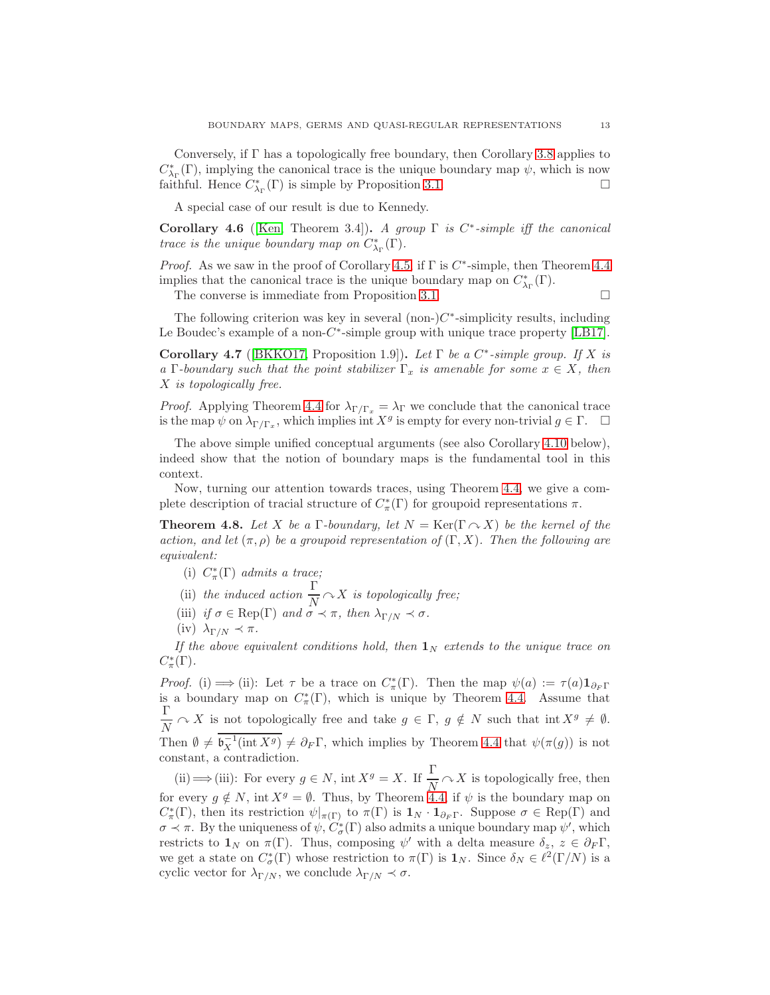<span id="page-12-1"></span>Conversely, if  $\Gamma$  has a topologically free boundary, then Corollary [3.8](#page-8-2) applies to  $C^*_{\lambda_{\Gamma}}(\Gamma)$ , implying the canonical trace is the unique boundary map  $\psi$ , which is now faithful. Hence  $C^*_{\lambda_{\Gamma}}(\Gamma)$  is simple by Proposition [3.1.](#page-6-2)

A special case of our result is due to Kennedy.

Corollary 4.6 ([\[Ken,](#page-23-2) Theorem 3.4]). A group  $\Gamma$  is  $C^*$ -simple iff the canonical *trace is the unique boundary map on*  $C^*_{\lambda_{\Gamma}}(\Gamma)$ .

*Proof.* As we saw in the proof of Corollary [4.5,](#page-11-1) if  $\Gamma$  is  $C^*$ -simple, then Theorem [4.4](#page-11-0) implies that the canonical trace is the unique boundary map on  $C^*_{\lambda_{\Gamma}}(\Gamma)$ .

The converse is immediate from Proposition [3.1.](#page-6-2)  $\Box$ 

The following criterion was key in several  $(non-)C^*$ -simplicity results, including Le Boudec's example of a non- $C^*$ -simple group with unique trace property [\[LB17\]](#page-23-15).

Corollary 4.7 ([\[BKKO17,](#page-22-0) Proposition 1.9]). Let  $\Gamma$  be a  $C^*$ -simple group. If X is a Γ-boundary such that the point stabilizer  $\Gamma_x$  is amenable for some  $x \in X$ , then X is topologically free.

*Proof.* Applying Theorem [4.4](#page-11-0) for  $\lambda_{\Gamma/\Gamma_x} = \lambda_{\Gamma}$  we conclude that the canonical trace is the map  $\psi$  on  $\lambda_{\Gamma/\Gamma_x}$ , which implies int  $X^g$  is empty for every non-trivial  $g \in \Gamma$ .  $\Box$ 

The above simple unified conceptual arguments (see also Corollary [4.10](#page-13-0) below), indeed show that the notion of boundary maps is the fundamental tool in this context.

<span id="page-12-0"></span>Now, turning our attention towards traces, using Theorem [4.4,](#page-11-0) we give a complete description of tracial structure of  $C^*_\pi(\Gamma)$  for groupoid representations  $\pi$ .

**Theorem 4.8.** Let X be a Γ-boundary, let  $N = \text{Ker}(\Gamma \cap X)$  be the kernel of the action, and let  $(\pi, \rho)$  be a groupoid representation of  $(\Gamma, X)$ . Then the following are equivalent:

- (i)  $C^*_\pi(\Gamma)$  admits a trace;
- (ii) the induced action  $\frac{\Gamma}{N} \curvearrowright X$  is topologically free;
- (iii) if  $\sigma \in \text{Rep}(\Gamma)$  and  $\sigma \prec \pi$ , then  $\lambda_{\Gamma/N} \prec \sigma$ .
- (iv)  $\lambda_{\Gamma/N} \prec \pi$ .

If the above equivalent conditions hold, then  $\mathbf{1}_N$  extends to the unique trace on  $C^*_\pi(\Gamma)$ .

Proof. (i)  $\implies$  (ii): Let  $\tau$  be a trace on  $C^*_\pi(\Gamma)$ . Then the map  $\psi(a) := \tau(a) \mathbf{1}_{\partial_F \Gamma}$ is a boundary map on  $C^*_\pi(\Gamma)$ , which is unique by Theorem [4.4.](#page-11-0) Assume that Γ  $\frac{1}{N} \cap X$  is not topologically free and take  $g \in \Gamma$ ,  $g \notin N$  such that int  $X^g \neq \emptyset$ . Then  $\emptyset \neq \mathfrak{b}_X^{-1}(\text{int } X^g) \neq \partial_F \Gamma$ , which implies by Theorem [4.4](#page-11-0) that  $\psi(\pi(g))$  is not constant, a contradiction.

(ii)  $\implies$  (iii): For every  $g \in N$ , int  $X^g = X$ . If  $\frac{\Gamma}{N} \curvearrowright X$  is topologically free, then for every  $g \notin N$ , int  $X^g = \emptyset$ . Thus, by Theorem [4.4,](#page-11-0) if  $\psi$  is the boundary map on  $C^*_\pi(\Gamma)$ , then its restriction  $\psi|_{\pi(\Gamma)}$  to  $\pi(\Gamma)$  is  $\mathbf{1}_N \cdot \mathbf{1}_{\partial_F\Gamma}$ . Suppose  $\sigma \in \text{Rep}(\Gamma)$  and  $\sigma \prec \pi$ . By the uniqueness of  $\psi$ ,  $C^*_{\sigma}(\Gamma)$  also admits a unique boundary map  $\psi'$ , which restricts to  $\mathbf{1}_N$  on  $\pi(\Gamma)$ . Thus, composing  $\psi'$  with a delta measure  $\delta_z$ ,  $z \in \partial_F \Gamma$ , we get a state on  $C^*_\sigma(\Gamma)$  whose restriction to  $\pi(\Gamma)$  is  $\mathbf{1}_N$ . Since  $\delta_N \in \ell^2(\Gamma/N)$  is a cyclic vector for  $\lambda_{\Gamma/N}$ , we conclude  $\lambda_{\Gamma/N} \prec \sigma$ .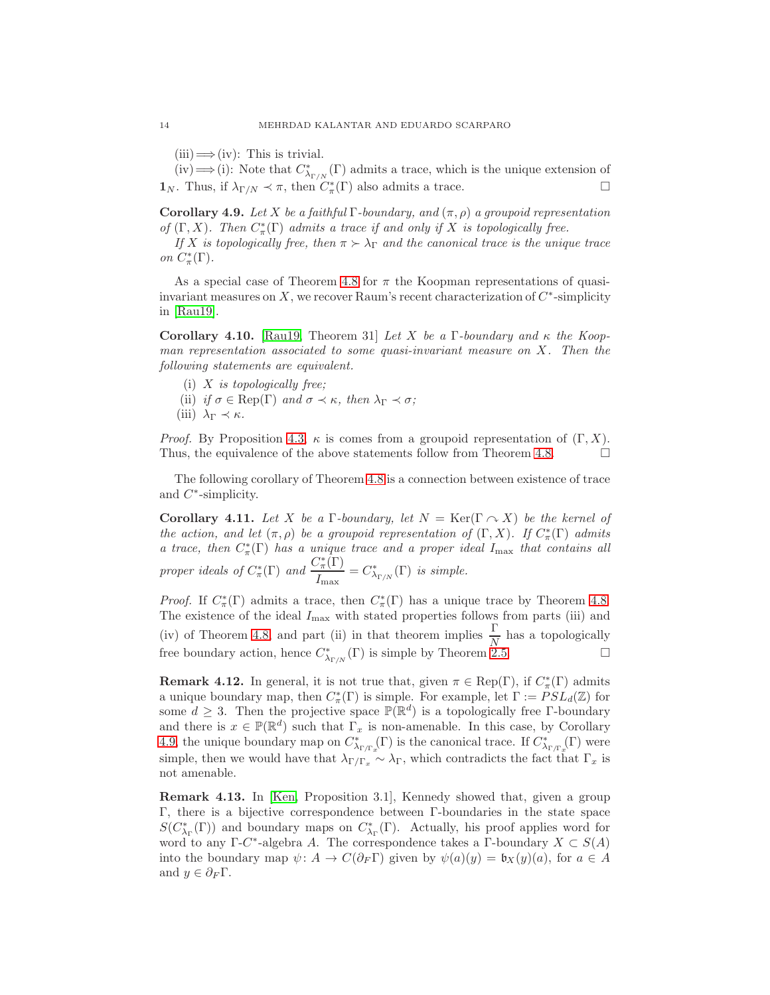<span id="page-13-2"></span> $(iii) \Longrightarrow (iv):$  This is trivial.

(iv)  $\Longrightarrow$  (i): Note that  $C^*_{\lambda_{\Gamma/N}}(\Gamma)$  admits a trace, which is the unique extension of **1**<sub>N</sub>. Thus, if  $\lambda_{\Gamma/N} \prec \pi$ , then  $C^*_{\pi}(\Gamma)$  also admits a trace.

<span id="page-13-1"></span>Corollary 4.9. Let X be a faithful Γ-boundary, and  $(\pi, \rho)$  a groupoid representation of  $(\Gamma, X)$ . Then  $C^*_\pi(\Gamma)$  admits a trace if and only if X is topologically free.

If X is topologically free, then  $\pi > \lambda_{\Gamma}$  and the canonical trace is the unique trace on  $C^*_\pi(\Gamma)$ .

As a special case of Theorem [4.8](#page-12-0) for  $\pi$  the Koopman representations of quasiinvariant measures on  $X$ , we recover Raum's recent characterization of  $C^*$ -simplicity in [\[Rau19\]](#page-23-4).

<span id="page-13-0"></span>Corollary 4.10. [\[Rau19,](#page-23-4) Theorem 31] Let X be a Γ-boundary and  $\kappa$  the Koopman representation associated to some quasi-invariant measure on  $X$ . Then the following statements are equivalent.

- (i)  $X$  is topologically free:
- (ii) if  $\sigma \in \text{Rep}(\Gamma)$  and  $\sigma \prec \kappa$ , then  $\lambda_{\Gamma} \prec \sigma$ ;
- (iii)  $\lambda_{\Gamma} \prec \kappa$ .

*Proof.* By Proposition [4.3,](#page-10-3)  $\kappa$  is comes from a groupoid representation of  $(\Gamma, X)$ . Thus, the equivalence of the above statements follow from Theorem [4.8.](#page-12-0)  $\Box$ 

The following corollary of Theorem [4.8](#page-12-0) is a connection between existence of trace and  $C^*$ -simplicity.

Corollary 4.11. Let X be a Γ-boundary, let  $N = \text{Ker}(\Gamma \cap X)$  be the kernel of the action, and let  $(\pi, \rho)$  be a groupoid representation of  $(\Gamma, X)$ . If  $C^*_{\pi}(\Gamma)$  admits a trace, then  $C^*_{\pi}(\Gamma)$  has a unique trace and a proper ideal  $I_{\text{max}}$  that contains all proper ideals of  $C^*_\pi(\Gamma)$  and  $\frac{C^*_\pi(\Gamma)}{I}$  $\frac{Z_{\pi}(T)}{I_{\max}} = C^*_{\lambda_{\Gamma/N}}(\Gamma)$  is simple.

*Proof.* If  $C^*_\pi(\Gamma)$  admits a trace, then  $C^*_\pi(\Gamma)$  has a unique trace by Theorem [4.8.](#page-12-0) The existence of the ideal  $I_{\text{max}}$  with stated properties follows from parts (iii) and (iv) of Theorem [4.8,](#page-12-0) and part (ii) in that theorem implies  $\frac{\Gamma}{N}$  has a topologically free boundary action, hence  $C^*_{\lambda_{\Gamma/N}}(\Gamma)$  is simple by Theorem [2.5.](#page-6-3)

**Remark 4.12.** In general, it is not true that, given  $\pi \in \text{Rep}(\Gamma)$ , if  $C^*_{\pi}(\Gamma)$  admits a unique boundary map, then  $C^*_{\pi}(\Gamma)$  is simple. For example, let  $\Gamma := PSL_d(\mathbb{Z})$  for some  $d \geq 3$ . Then the projective space  $\mathbb{P}(\mathbb{R}^d)$  is a topologically free Γ-boundary and there is  $x \in \mathbb{P}(\mathbb{R}^d)$  such that  $\Gamma_x$  is non-amenable. In this case, by Corollary [4.9,](#page-13-1) the unique boundary map on  $C^*_{\lambda_{\Gamma/\Gamma_x}}(\Gamma)$  is the canonical trace. If  $C^*_{\lambda_{\Gamma/\Gamma_x}}(\Gamma)$  were simple, then we would have that  $\lambda_{\Gamma/\Gamma_x} \sim \lambda_{\Gamma}$ , which contradicts the fact that  $\Gamma_x$  is not amenable.

Remark 4.13. In [\[Ken,](#page-23-2) Proposition 3.1], Kennedy showed that, given a group Γ, there is a bijective correspondence between Γ-boundaries in the state space  $S(C^*_{\lambda_{\Gamma}}(\Gamma))$  and boundary maps on  $C^*_{\lambda_{\Gamma}}(\Gamma)$ . Actually, his proof applies word for word to any  $\Gamma$ -C<sup>\*</sup>-algebra A. The correspondence takes a  $\Gamma$ -boundary  $X \subset S(A)$ into the boundary map  $\psi: A \to C(\partial_F \Gamma)$  given by  $\psi(a)(y) = \mathfrak{b}_X(y)(a)$ , for  $a \in A$ and  $y \in \partial_F \Gamma$ .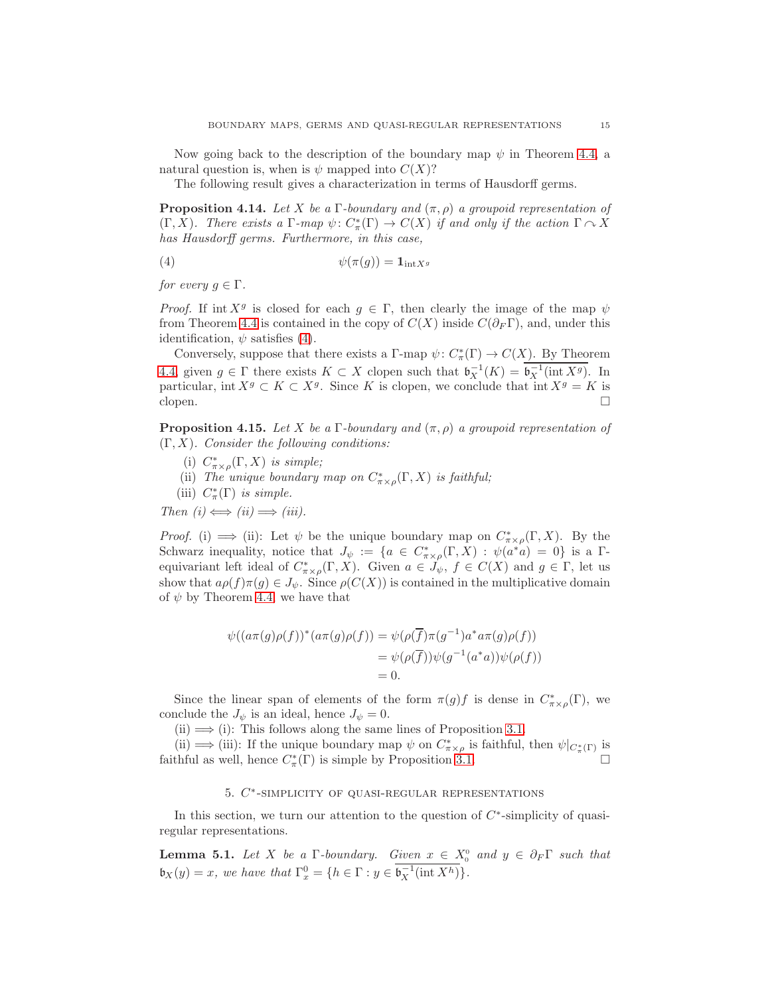Now going back to the description of the boundary map  $\psi$  in Theorem [4.4,](#page-11-0) a natural question is, when is  $\psi$  mapped into  $C(X)$ ?

<span id="page-14-3"></span>The following result gives a characterization in terms of Hausdorff germs.

**Proposition 4.14.** Let X be a Γ-boundary and  $(\pi, \rho)$  a groupoid representation of  $(\Gamma, X)$ . There exists a  $\Gamma$ -map  $\psi \colon C^*_\pi(\Gamma) \to C(X)$  if and only if the action  $\Gamma \curvearrowright X$ has Hausdorff germs. Furthermore, in this case,

<span id="page-14-1"></span>
$$
\psi(\pi(g)) = \mathbf{1}_{\mathrm{int}X^g}
$$

for every  $q \in \Gamma$ .

*Proof.* If int  $X^g$  is closed for each  $g \in \Gamma$ , then clearly the image of the map  $\psi$ from Theorem [4.4](#page-11-0) is contained in the copy of  $C(X)$  inside  $C(\partial_F \Gamma)$ , and, under this identification,  $\psi$  satisfies [\(4\)](#page-14-1).

Conversely, suppose that there exists a  $\Gamma$ -map  $\psi: C^*_\pi(\Gamma) \to C(X)$ . By Theorem [4.4,](#page-11-0) given  $g \in \Gamma$  there exists  $K \subset X$  clopen such that  $\mathfrak{b}_X^{-1}(K) = \mathfrak{b}_X^{-1}(\text{int } X^g)$ . In particular, int  $X^g \subset K \subset X^g$ . Since K is clopen, we conclude that int  $X^g = K$  is clopen.  $\Box$ 

<span id="page-14-4"></span>**Proposition 4.15.** Let X be a Γ-boundary and  $(\pi, \rho)$  a groupoid representation of  $(\Gamma, X)$ . Consider the following conditions:

- (i)  $C^*_{\pi \times \rho}(\Gamma, X)$  is simple;
- (ii) The unique boundary map on  $C^*_{\pi\times\rho}(\Gamma,X)$  is faithful;
- (iii)  $C^*_\pi(\Gamma)$  is simple.

Then  $(i) \Longleftrightarrow (ii) \Longrightarrow (iii)$ .

*Proof.* (i)  $\implies$  (ii): Let  $\psi$  be the unique boundary map on  $C^*_{\pi \times \rho}(\Gamma, X)$ . By the Schwarz inequality, notice that  $J_{\psi} := \{a \in C^*_{\pi \times \rho}(\Gamma, X) : \psi(a^*a) = 0\}$  is a  $\Gamma$ equivariant left ideal of  $C^*_{\pi\times\rho}(\Gamma,X)$ . Given  $a\in J_\psi, f\in C(X)$  and  $g\in \Gamma$ , let us show that  $a\rho(f)\pi(g) \in J_{\psi}$ . Since  $\rho(C(X))$  is contained in the multiplicative domain of  $\psi$  by Theorem [4.4,](#page-11-0) we have that

$$
\psi((a\pi(g)\rho(f))^*(a\pi(g)\rho(f)) = \psi(\rho(\overline{f})\pi(g^{-1})a^*a\pi(g)\rho(f))
$$
  
= 
$$
\psi(\rho(\overline{f}))\psi(g^{-1}(a^*a))\psi(\rho(f))
$$
  
= 0.

Since the linear span of elements of the form  $\pi(g)f$  is dense in  $C^*_{\pi\times\rho}(\Gamma)$ , we conclude the  $J_{\psi}$  is an ideal, hence  $J_{\psi} = 0$ .

 $(ii) \Longrightarrow (i)$ : This follows along the same lines of Proposition [3.1.](#page-6-2)

(ii)  $\implies$  (iii): If the unique boundary map  $\psi$  on  $C^*_{\pi\times\rho}$  is faithful, then  $\psi|_{C^*_\pi(\Gamma)}$  is faithful as well, hence  $C^*_\pi(\Gamma)$  is simple by Proposition [3.1.](#page-6-2)

## 5.  $C^*$ -SIMPLICITY OF QUASI-REGULAR REPRESENTATIONS

<span id="page-14-2"></span><span id="page-14-0"></span>In this section, we turn our attention to the question of  $C^*$ -simplicity of quasiregular representations.

**Lemma 5.1.** Let X be a  $\Gamma$ -boundary. Given  $x \in X_0^0$  and  $y \in \partial_F \Gamma$  such that  $\mathfrak{b}_X(y) = x$ , we have that  $\Gamma_x^0 = \{h \in \Gamma : y \in \mathfrak{b}_X^{-1}(\text{int } X^h)\}.$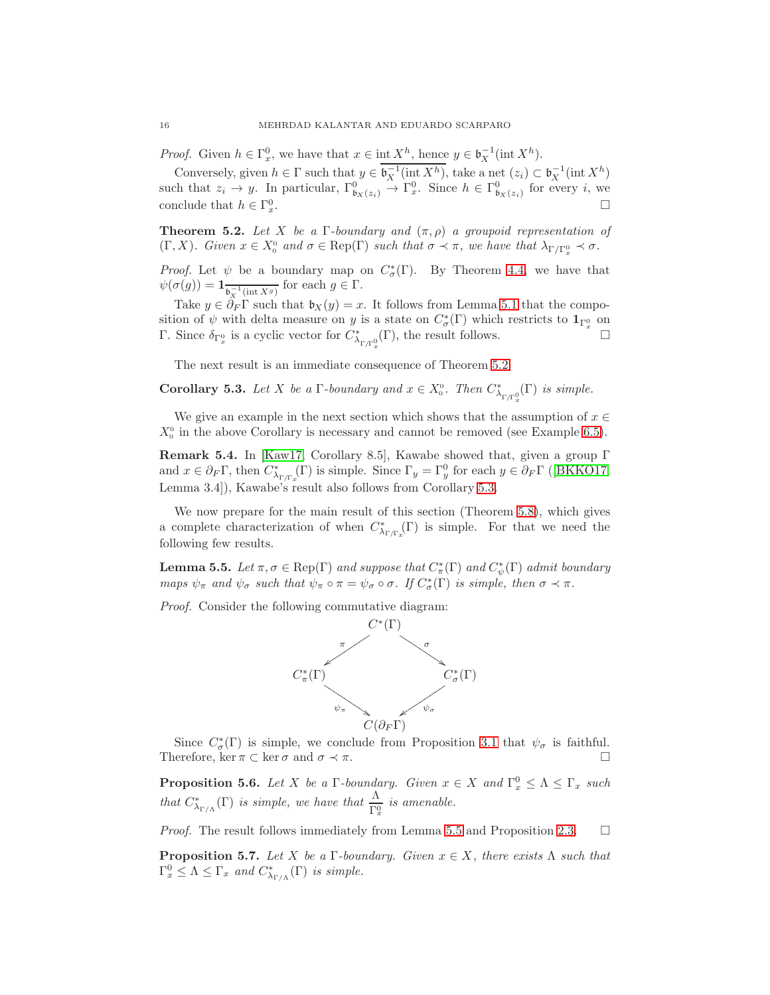<span id="page-15-5"></span>*Proof.* Given  $h \in \Gamma_x^0$ , we have that  $x \in \text{int } X^h$ , hence  $y \in \mathfrak{b}_X^{-1}(\text{int } X^h)$ .

Conversely, given  $h \in \Gamma$  such that  $y \in \mathfrak{b}_X^{-1}(\text{int } X^h)$ , take a net  $(z_i) \subset \mathfrak{b}_X^{-1}(\text{int } X^h)$ such that  $z_i \to y$ . In particular,  $\Gamma^0_{\mathfrak{b}_X(z_i)} \to \Gamma^0_x$ . Since  $h \in \Gamma^0_{\mathfrak{b}_X(z_i)}$  for every i, we conclude that  $h \in \Gamma_x^0$ .

<span id="page-15-0"></span>**Theorem 5.2.** Let X be a Γ-boundary and  $(\pi, \rho)$  a groupoid representation of  $(\Gamma, X)$ . Given  $x \in X_0^0$  and  $\sigma \in \text{Rep}(\Gamma)$  such that  $\sigma \prec \pi$ , we have that  $\lambda_{\Gamma/\Gamma_x^0} \prec \sigma$ .

*Proof.* Let  $\psi$  be a boundary map on  $C^*_{\sigma}(\Gamma)$ . By Theorem [4.4,](#page-11-0) we have that  $\psi(\sigma(g)) = \mathbf{1}_{\overline{\mathfrak{b}_X^{-1}(\text{int }X^g)}}$  for each  $g \in \Gamma$ .

Take  $y \in \partial_F \Gamma$  such that  $\mathfrak{b}_X(y) = x$ . It follows from Lemma [5.1](#page-14-2) that the composition of  $\psi$  with delta measure on y is a state on  $C^*_\sigma(\Gamma)$  which restricts to  $1_{\Gamma_x^0}$  on Γ. Since  $\delta_{\Gamma_x^0}$  is a cyclic vector for  $C^*_{\lambda_{\Gamma/\Gamma_x^0}}(\Gamma)$ , the result follows.  $□$ 

<span id="page-15-1"></span>The next result is an immediate consequence of Theorem [5.2.](#page-15-0)

**Corollary 5.3.** Let X be a  $\Gamma$ -boundary and  $x \in X_0^{\circ}$ . Then  $C^*_{\lambda_{\Gamma/\Gamma_{\infty}^0}}(\Gamma)$  is simple. x

We give an example in the next section which shows that the assumption of  $x \in \mathbb{R}$  $X_0^0$  in the above Corollary is necessary and cannot be removed (see Example [6.5\)](#page-18-0).

Remark 5.4. In [\[Kaw17,](#page-23-5) Corollary 8.5], Kawabe showed that, given a group Γ and $x \in \partial_F \Gamma$ , then  $C^*_{\lambda_{\Gamma/\Gamma_x}}(\Gamma)$  is simple. Since  $\Gamma_y = \Gamma_y^0$  for each  $y \in \partial_F \Gamma$  ([\[BKKO17,](#page-22-0) Lemma 3.4]), Kawabe's result also follows from Corollary [5.3.](#page-15-1)

We now prepare for the main result of this section (Theorem [5.8\)](#page-16-0), which gives a complete characterization of when  $C^*_{\lambda_{\Gamma/\Gamma_x}}(\Gamma)$  is simple. For that we need the following few results.

<span id="page-15-2"></span>**Lemma 5.5.** Let  $\pi, \sigma \in \text{Rep}(\Gamma)$  and suppose that  $C^*_\pi(\Gamma)$  and  $C^*_\psi(\Gamma)$  admit boundary maps  $\psi_{\pi}$  and  $\psi_{\sigma}$  such that  $\psi_{\pi} \circ \pi = \psi_{\sigma} \circ \sigma$ . If  $C_{\sigma}^{*}(\Gamma)$  is simple, then  $\sigma \prec \pi$ .

Proof. Consider the following commutative diagram:



Since  $C^*_{\sigma}(\Gamma)$  is simple, we conclude from Proposition [3.1](#page-6-2) that  $\psi_{\sigma}$  is faithful. Therefore, ker  $\pi \subset \ker \sigma$  and  $\sigma \prec \pi$ .

<span id="page-15-3"></span>**Proposition 5.6.** Let X be a  $\Gamma$ -boundary. Given  $x \in X$  and  $\Gamma_x^0 \leq \Lambda \leq \Gamma_x$  such that  $C^*_{\lambda_{\Gamma/\Lambda}}(\Gamma)$  is simple, we have that  $\frac{\Lambda}{\Gamma_x^0}$  is amenable.

<span id="page-15-4"></span>*Proof.* The result follows immediately from Lemma [5.5](#page-15-2) and Proposition [2.3.](#page-5-0)  $\Box$ 

**Proposition 5.7.** Let X be a Γ-boundary. Given  $x \in X$ , there exists  $\Lambda$  such that  $\Gamma_x^0 \leq \Lambda \leq \Gamma_x$  and  $C^*_{\lambda_{\Gamma/\Lambda}}(\Gamma)$  is simple.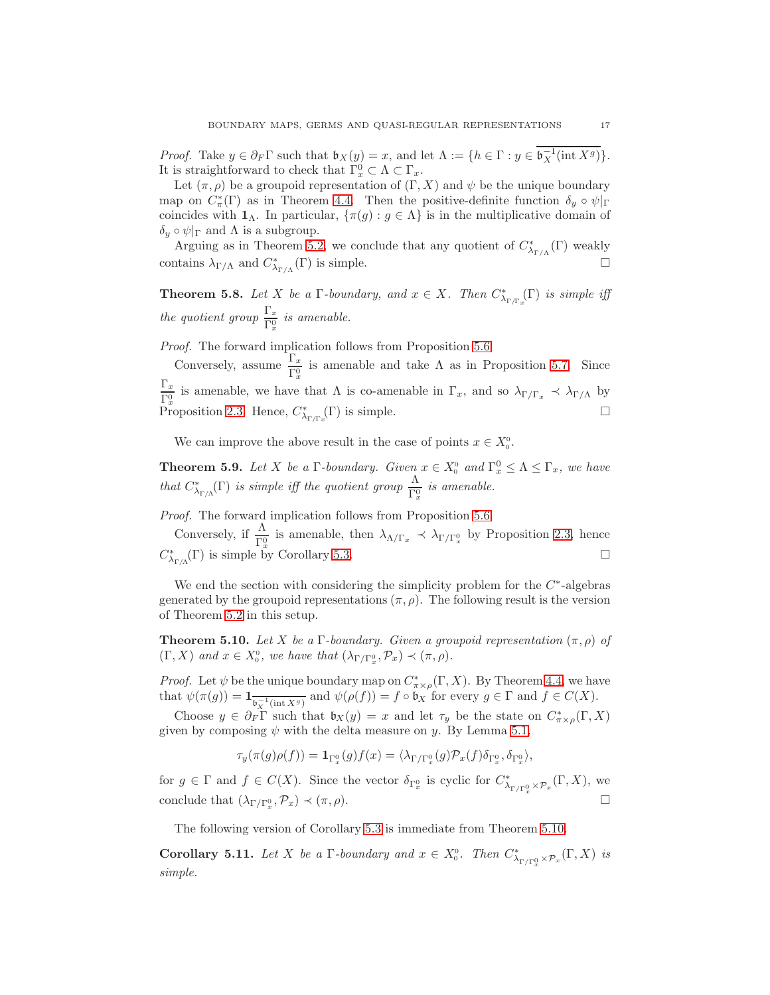*Proof.* Take  $y \in \partial_F \Gamma$  such that  $\mathfrak{b}_X(y) = x$ , and let  $\Lambda := \{h \in \Gamma : y \in \mathfrak{b}_X^{-1}(\text{int } X^g)\}.$ It is straightforward to check that  $\Gamma_x^0 \subset \Lambda \subset \Gamma_x$ .

Let  $(\pi, \rho)$  be a groupoid representation of  $(\Gamma, X)$  and  $\psi$  be the unique boundary map on  $C^*_\pi(\Gamma)$  as in Theorem [4.4.](#page-11-0) Then the positive-definite function  $\delta_y \circ \psi|_{\Gamma}$ coincides with  $\mathbf{1}_{\Lambda}$ . In particular,  $\{\pi(g) : g \in \Lambda\}$  is in the multiplicative domain of  $\delta_y \circ \psi|_{\Gamma}$  and  $\Lambda$  is a subgroup.

Arguing as in Theorem [5.2,](#page-15-0) we conclude that any quotient of  $C^*_{\lambda_{\Gamma/\Lambda}}(\Gamma)$  weakly contains  $\lambda_{\Gamma/\Lambda}$  and  $C^*_{\lambda_{\Gamma/\Lambda}}(\Gamma)$  is simple.

<span id="page-16-0"></span>**Theorem 5.8.** Let X be a  $\Gamma$ -boundary, and  $x \in X$ . Then  $C^*_{\lambda_{\Gamma/\Gamma_x}}(\Gamma)$  is simple iff the quotient group  $\frac{\Gamma_x}{\Gamma_x^0}$  is amenable.

Proof. The forward implication follows from Proposition [5.6.](#page-15-3)

Conversely, assume  $\frac{\Gamma_x}{\Gamma_x^0}$  is amenable and take  $\Lambda$  as in Proposition [5.7.](#page-15-4) Since  $\Gamma_x$  $\frac{r_x}{\Gamma_x^0}$  is amenable, we have that  $\Lambda$  is co-amenable in  $\Gamma_x$ , and so  $\lambda_{\Gamma/\Gamma_x} \prec \lambda_{\Gamma/\Lambda}$  by Proposition [2.3.](#page-5-0) Hence,  $C^*_{\lambda_{\Gamma/\Gamma_x}}(\Gamma)$  is simple.

<span id="page-16-2"></span>We can improve the above result in the case of points  $x \in X_0^0$ .

**Theorem 5.9.** Let X be a  $\Gamma$ -boundary. Given  $x \in X_0^0$  and  $\Gamma_x^0 \leq \Lambda \leq \Gamma_x$ , we have that  $C^*_{\lambda_{\Gamma/\Lambda}}(\Gamma)$  is simple iff the quotient group  $\frac{\Lambda}{\Gamma_x^0}$  is amenable.

Proof. The forward implication follows from Proposition [5.6.](#page-15-3)

Conversely, if  $\frac{\Lambda}{\Gamma_x^0}$  is amenable, then  $\lambda_{\Lambda/\Gamma_x} \prec \lambda_{\Gamma/\Gamma_x^0}$  by Proposition [2.3,](#page-5-0) hence  $C^*_{\lambda_{\Gamma/\Lambda}}(\Gamma)$  is simple by Corollary [5.3.](#page-15-1)

We end the section with considering the simplicity problem for the  $C^*$ -algebras generated by the groupoid representations  $(\pi, \rho)$ . The following result is the version of Theorem [5.2](#page-15-0) in this setup.

<span id="page-16-1"></span>**Theorem 5.10.** Let X be a Γ-boundary. Given a groupoid representation  $(\pi, \rho)$  of  $(\Gamma, X)$  and  $x \in X_0^0$ , we have that  $(\lambda_{\Gamma/\Gamma_x^0}, \mathcal{P}_x) \prec (\pi, \rho)$ .

*Proof.* Let  $\psi$  be the unique boundary map on  $C^*_{\pi \times \rho}(\Gamma, X)$ . By Theorem [4.4,](#page-11-0) we have that  $\psi(\pi(g)) = \mathbb{1}_{\overline{\mathfrak{b}_X^{-1}(\text{int }X^g)}}$  and  $\psi(\rho(f)) = f \circ \mathfrak{b}_X$  for every  $g \in \Gamma$  and  $f \in C(X)$ .

Choose  $y \in \partial_F \Gamma$  such that  $\mathfrak{b}_X(y) = x$  and let  $\tau_y$  be the state on  $C^*_{\pi \times \rho}(\Gamma, X)$ given by composing  $\psi$  with the delta measure on y. By Lemma [5.1,](#page-14-2)

$$
\tau_y(\pi(g)\rho(f)) = \mathbf{1}_{\Gamma_x^0}(g)f(x) = \langle \lambda_{\Gamma/\Gamma_x^0}(g)\mathcal{P}_x(f)\delta_{\Gamma_x^0}, \delta_{\Gamma_x^0}\rangle,
$$

for  $g \in \Gamma$  and  $f \in C(X)$ . Since the vector  $\delta_{\Gamma_x^0}$  is cyclic for  $C^*_{\lambda_{\Gamma/\Gamma_x^0} \times \mathcal{P}_x}(\Gamma, X)$ , we conclude that  $(\lambda_{\Gamma/\Gamma_x^0}, \mathcal{P}_x) \prec (\pi, \rho)$ .

The following version of Corollary [5.3](#page-15-1) is immediate from Theorem [5.10.](#page-16-1)

**Corollary 5.11.** Let X be a  $\Gamma$ -boundary and  $x \in X_0^0$ . Then  $C^*_{\lambda_{\Gamma/\Gamma_x^0} \times \mathcal{P}_x}(\Gamma, X)$  is simple.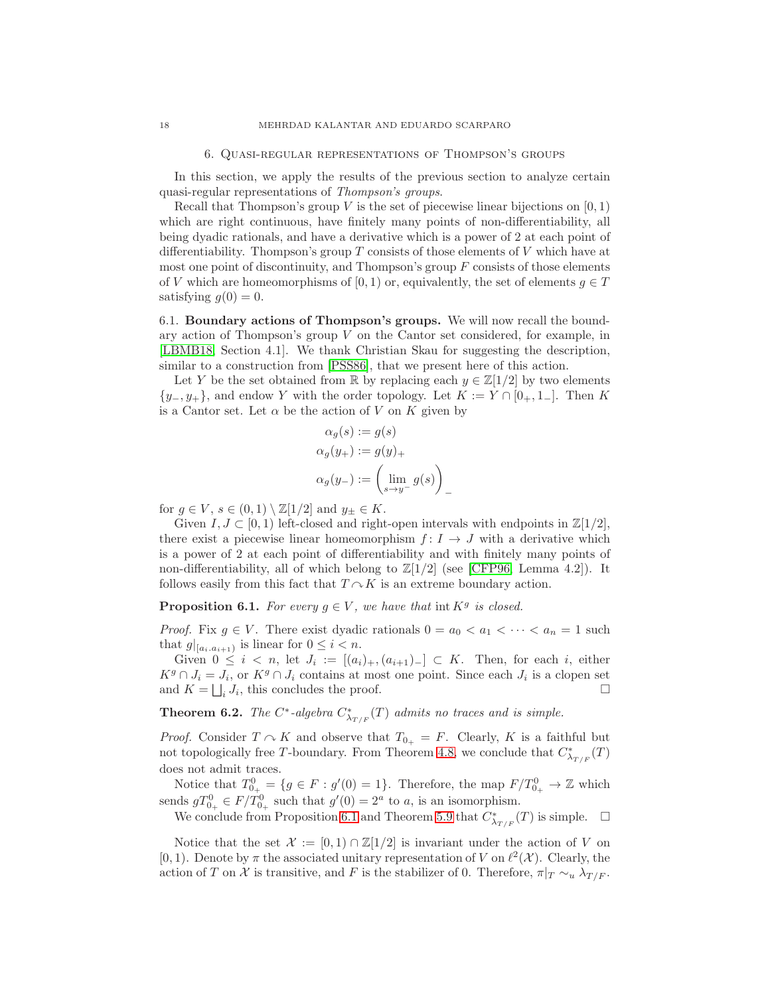#### 6. Quasi-regular representations of Thompson's groups

<span id="page-17-3"></span><span id="page-17-1"></span>In this section, we apply the results of the previous section to analyze certain quasi-regular representations of Thompson's groups.

Recall that Thompson's group  $V$  is the set of piecewise linear bijections on  $[0, 1)$ which are right continuous, have finitely many points of non-differentiability, all being dyadic rationals, and have a derivative which is a power of 2 at each point of differentiability. Thompson's group  $T$  consists of those elements of  $V$  which have at most one point of discontinuity, and Thompson's group  $F$  consists of those elements of V which are homeomorphisms of [0, 1) or, equivalently, the set of elements  $g \in T$ satisfying  $g(0) = 0$ .

6.1. Boundary actions of Thompson's groups. We will now recall the boundary action of Thompson's group  $V$  on the Cantor set considered, for example, in [\[LBMB18,](#page-23-10) Section 4.1]. We thank Christian Skau for suggesting the description, similar to a construction from [\[PSS86\]](#page-23-17), that we present here of this action.

Let Y be the set obtained from R by replacing each  $y \in \mathbb{Z}[1/2]$  by two elements  $\{y_-, y_+\}$ , and endow Y with the order topology. Let  $K := Y \cap [0_+, 1_-]$ . Then K is a Cantor set. Let  $\alpha$  be the action of V on K given by

$$
\alpha_g(s) := g(s)
$$
  
\n
$$
\alpha_g(y_+) := g(y)_+
$$
  
\n
$$
\alpha_g(y_-) := \left(\lim_{s \to y^-} g(s)\right)_-
$$

for  $g \in V$ ,  $s \in (0,1) \setminus \mathbb{Z}[1/2]$  and  $y_{\pm} \in K$ .

Given  $I, J \subset [0, 1)$  left-closed and right-open intervals with endpoints in  $\mathbb{Z}[1/2]$ , there exist a piecewise linear homeomorphism  $f: I \to J$  with a derivative which is a power of 2 at each point of differentiability and with finitely many points of non-differentiability, all of which belong to  $\mathbb{Z}[1/2]$  (see [\[CFP96,](#page-22-8) Lemma 4.2]). It follows easily from this fact that  $T \sim K$  is an extreme boundary action.

<span id="page-17-2"></span>**Proposition 6.1.** For every  $g \in V$ , we have that int  $K^g$  is closed.

*Proof.* Fix  $g \in V$ . There exist dyadic rationals  $0 = a_0 < a_1 < \cdots < a_n = 1$  such that  $g|_{[a_i, a_{i+1})}$  is linear for  $0 \leq i < n$ .

Given  $0 \leq i \leq n$ , let  $J_i := [(a_i)_+, (a_{i+1})_-] \subset K$ . Then, for each i, either  $K^g \cap J_i = J_i$ , or  $K^g \cap J_i$  contains at most one point. Since each  $J_i$  is a clopen set and  $K = \bigsqcup_i J_i$ , this concludes the proof.

<span id="page-17-0"></span>**Theorem 6.2.** The  $C^*$ -algebra  $C^*_{\lambda_{T/F}}(T)$  admits no traces and is simple.

*Proof.* Consider  $T \sim K$  and observe that  $T_{0+} = F$ . Clearly, K is a faithful but not topologically free T-boundary. From Theorem [4.8,](#page-12-0) we conclude that  $C^*_{\lambda_{T/F}}(T)$ does not admit traces.

Notice that  $T_{0_+}^0 = \{ g \in F : g'(0) = 1 \}.$  Therefore, the map  $F/T_{0_+}^0 \to \mathbb{Z}$  which sends  $gT_{0_+}^0 \in F/T_{0_+}^0$  such that  $g'(0) = 2^a$  to a, is an isomorphism.

We conclude from Proposition [6.1](#page-17-2) and Theorem [5.9](#page-16-2) that  $C^*_{\lambda_{T/F}}(T)$  is simple.  $\Box$ 

Notice that the set  $\mathcal{X} := [0, 1) \cap \mathbb{Z}[1/2]$  is invariant under the action of V on [0, 1]. Denote by  $\pi$  the associated unitary representation of V on  $\ell^2(\mathcal{X})$ . Clearly, the action of T on X is transitive, and F is the stabilizer of 0. Therefore,  $\pi|_T \sim_u \lambda_{T/F}$ .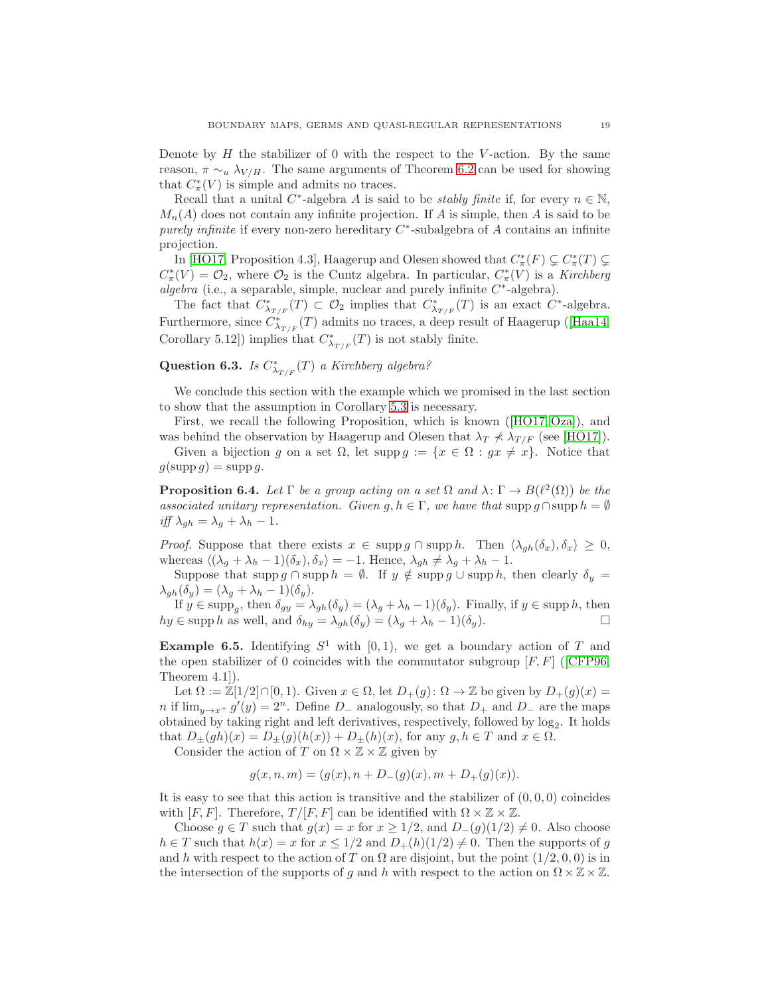<span id="page-18-2"></span>Denote by  $H$  the stabilizer of 0 with the respect to the V-action. By the same reason,  $\pi \sim_u \lambda_{V/H}$ . The same arguments of Theorem [6.2](#page-17-0) can be used for showing that  $C^*_{\pi}(V)$  is simple and admits no traces.

Recall that a unital  $C^*$ -algebra A is said to be *stably finite* if, for every  $n \in \mathbb{N}$ ,  $M_n(A)$  does not contain any infinite projection. If A is simple, then A is said to be purely infinite if every non-zero hereditary  $C^*$ -subalgebra of A contains an infinite projection.

In [\[HO17,](#page-23-9) Proposition 4.3], Haagerup and Olesen showed that  $C^*_\pi(F) \subsetneq C^*_\pi(T) \subsetneq$  $C^*_{\pi}(V) = \mathcal{O}_2$ , where  $\mathcal{O}_2$  is the Cuntz algebra. In particular,  $C^*_{\pi}(V)$  is a Kirchberg  $algebra$  (i.e., a separable, simple, nuclear and purely infinite  $C^*$ -algebra).

The fact that  $C^*_{\lambda_{T/F}}(T) \subset \mathcal{O}_2$  implies that  $C^*_{\lambda_{T/F}}(T)$  is an exact  $C^*$ -algebra. Furthermore,since  $C^*_{\lambda_{T/F}}(T)$  admits no traces, a deep result of Haagerup ([\[Haa14,](#page-23-18) Corollary 5.12]) implies that  $C^*_{\lambda_{T/F}}(T)$  is not stably finite.

# Question 6.3. Is  $C^*_{\lambda_{T/F}}(T)$  a Kirchberg algebra?

We conclude this section with the example which we promised in the last section to show that the assumption in Corollary [5.3](#page-15-1) is necessary.

First, we recall the following Proposition, which is known([\[HO17,](#page-23-9) [Oza\]](#page-23-19)), and was behind the observation by Haagerup and Olesen that  $\lambda_T \nless \lambda_{T/F}$  (see [\[HO17\]](#page-23-9)).

<span id="page-18-1"></span>Given a bijection g on a set  $\Omega$ , let supp  $g := \{x \in \Omega : gx \neq x\}$ . Notice that  $g(\operatorname{supp} g) = \operatorname{supp} g.$ 

**Proposition 6.4.** Let  $\Gamma$  be a group acting on a set  $\Omega$  and  $\lambda: \Gamma \to B(\ell^2(\Omega))$  be the associated unitary representation. Given g,  $h \in \Gamma$ , we have that supp  $g \cap \text{supp } h = \emptyset$ iff  $\lambda_{gh} = \lambda_g + \lambda_h - 1$ .

*Proof.* Suppose that there exists  $x \in \text{supp } g \cap \text{supp } h$ . Then  $\langle \lambda_{gh}(\delta_x), \delta_x \rangle \geq 0$ , whereas  $\langle (\lambda_q + \lambda_h - 1)(\delta_x), \delta_x \rangle = -1$ . Hence,  $\lambda_{qh} \neq \lambda_q + \lambda_h - 1$ .

Suppose that supp g ∩ supp  $h = \emptyset$ . If  $y \notin \text{supp } g \cup \text{supp } h$ , then clearly  $\delta_y =$  $\lambda_{gh}(\delta_y) = (\lambda_g + \lambda_h - 1)(\delta_y).$ 

If  $y \in \text{supp}_g$ , then  $\delta_{gy} = \lambda_{gh}(\delta_y) = (\lambda_g + \lambda_h - 1)(\delta_y)$ . Finally, if  $y \in \text{supp } h$ , then  $hy \in \text{supp } h$  as well, and  $\delta_{hy} = \lambda_{gh}(\delta_y) = (\lambda_g + \lambda_h - 1)(\delta_y)$ .

<span id="page-18-0"></span>**Example 6.5.** Identifying  $S^1$  with  $[0,1)$ , we get a boundary action of T and theopen stabilizer of 0 coincides with the commutator subgroup  $[F, F]$  ([\[CFP96,](#page-22-8) Theorem 4.1]).

Let  $\Omega := \mathbb{Z}[1/2] \cap [0,1]$ . Given  $x \in \Omega$ , let  $D_+(q) : \Omega \to \mathbb{Z}$  be given by  $D_+(q)(x) =$ n if  $\lim_{y\to x^+} g'(y) = 2^n$ . Define D<sub>-</sub> analogously, so that D<sub>+</sub> and D<sub>-</sub> are the maps obtained by taking right and left derivatives, respectively, followed by  $log_2$ . It holds that  $D_{\pm}(gh)(x) = D_{\pm}(g)(h(x)) + D_{\pm}(h)(x)$ , for any  $g, h \in T$  and  $x \in \Omega$ .

Consider the action of T on  $\Omega \times \mathbb{Z} \times \mathbb{Z}$  given by

$$
g(x, n, m) = (g(x), n + D_{-}(g)(x), m + D_{+}(g)(x)).
$$

It is easy to see that this action is transitive and the stabilizer of  $(0, 0, 0)$  coincides with  $[F, F]$ . Therefore,  $T/[F, F]$  can be identified with  $\Omega \times \mathbb{Z} \times \mathbb{Z}$ .

Choose  $g \in T$  such that  $g(x) = x$  for  $x \geq 1/2$ , and  $D_{-}(g)(1/2) \neq 0$ . Also choose  $h \in T$  such that  $h(x) = x$  for  $x \leq 1/2$  and  $D_+(h)(1/2) \neq 0$ . Then the supports of g and h with respect to the action of T on  $\Omega$  are disjoint, but the point  $(1/2, 0, 0)$  is in the intersection of the supports of g and h with respect to the action on  $\Omega \times \mathbb{Z} \times \mathbb{Z}$ .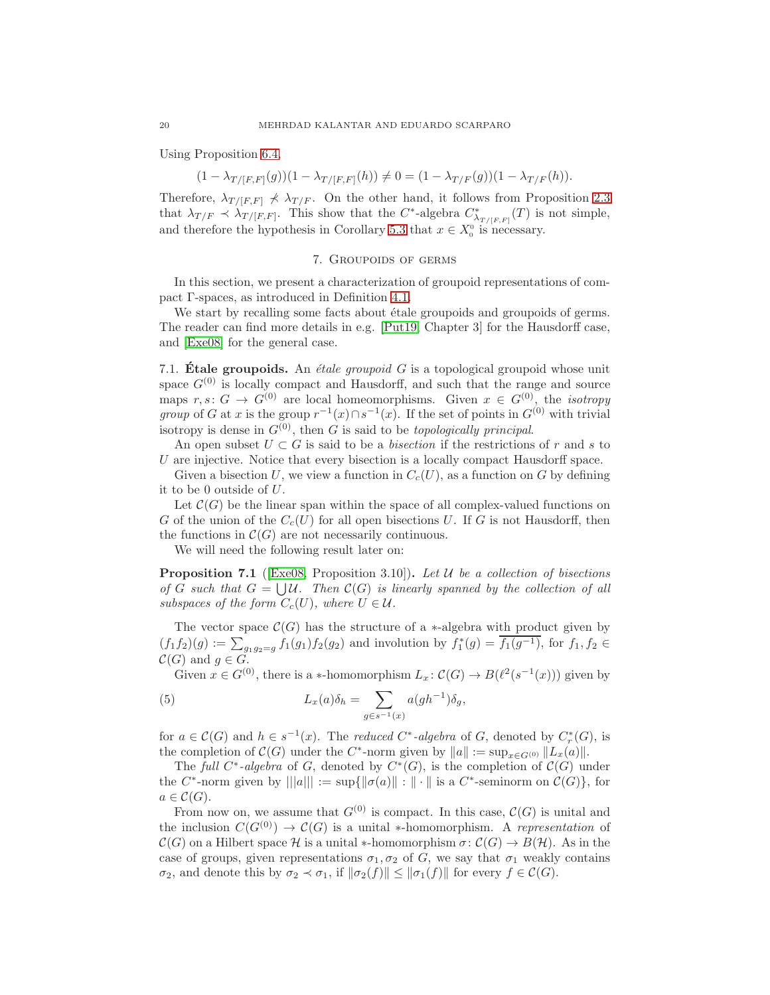<span id="page-19-3"></span>Using Proposition [6.4,](#page-18-1)

$$
(1 - \lambda_{T/[F,F]}(g))(1 - \lambda_{T/[F,F]}(h)) \neq 0 = (1 - \lambda_{T/F}(g))(1 - \lambda_{T/F}(h)).
$$

Therefore,  $\lambda_{T/[F,F]} \nless \lambda_{T/F}$ . On the other hand, it follows from Proposition [2.3](#page-5-0) that  $\lambda_{T/F} \prec \lambda_{T/[F,F]}$ . This show that the C<sup>\*</sup>-algebra  $C^*_{\lambda_{T/[F,F]}}(T)$  is not simple, and therefore the hypothesis in Corollary [5.3](#page-15-1) that  $x \in X_0^0$  is necessary.

### 7. Groupoids of germs

<span id="page-19-0"></span>In this section, we present a characterization of groupoid representations of compact Γ-spaces, as introduced in Definition [4.1.](#page-10-0)

We start by recalling some facts about étale groupoids and groupoids of germs. The reader can find more details in e.g. [\[Put19,](#page-23-20) Chapter 3] for the Hausdorff case, and [\[Exe08\]](#page-23-21) for the general case.

7.1. **Étale groupoids.** An *étale groupoid G* is a topological groupoid whose unit space  $G^{(0)}$  is locally compact and Hausdorff, and such that the range and source maps  $r, s: G \to G^{(0)}$  are local homeomorphisms. Given  $x \in G^{(0)}$ , the *isotropy group* of G at x is the group  $r^{-1}(x) \cap s^{-1}(x)$ . If the set of points in  $G^{(0)}$  with trivial isotropy is dense in  $G^{(0)}$ , then G is said to be *topologically principal*.

An open subset  $U \subset G$  is said to be a *bisection* if the restrictions of r and s to  $U$  are injective. Notice that every bisection is a locally compact Hausdorff space.

Given a bisection U, we view a function in  $C_c(U)$ , as a function on G by defining it to be 0 outside of U.

Let  $\mathcal{C}(G)$  be the linear span within the space of all complex-valued functions on G of the union of the  $C_c(U)$  for all open bisections U. If G is not Hausdorff, then the functions in  $\mathcal{C}(G)$  are not necessarily continuous.

<span id="page-19-1"></span>We will need the following result later on:

**Proposition 7.1** ([\[Exe08,](#page-23-21) Proposition 3.10]). Let U be a collection of bisections of G such that  $G = \bigcup \mathcal{U}$ . Then  $\mathcal{C}(G)$  is linearly spanned by the collection of all subspaces of the form  $C_c(U)$ , where  $U \in \mathcal{U}$ .

The vector space  $\mathcal{C}(G)$  has the structure of a ∗-algebra with product given by  $(f_1 f_2)(g) := \sum_{g_1 g_2 = g} f_1(g_1) f_2(g_2)$  and involution by  $f_1^*(g) = \overline{f_1(g^{-1})}$ , for  $f_1, f_2 \in$  $\mathcal{C}(G)$  and  $g \in \tilde{G}$ .

<span id="page-19-2"></span>Given  $x \in G^{(0)}$ , there is a \*-homomorphism  $L_x: \mathcal{C}(G) \to B(\ell^2(s^{-1}(x)))$  given by

(5) 
$$
L_x(a)\delta_h = \sum_{g \in s^{-1}(x)} a(gh^{-1})\delta_g,
$$

for  $a \in \mathcal{C}(G)$  and  $h \in s^{-1}(x)$ . The reduced  $C^*$ -algebra of G, denoted by  $C_r^*(G)$ , is the completion of  $C(G)$  under the C<sup>\*</sup>-norm given by  $||a|| := \sup_{x \in G^{(0)}} ||L_x(a)||$ .

The full C<sup>\*</sup>-algebra of G, denoted by  $C^*(G)$ , is the completion of  $C(G)$  under the C<sup>\*</sup>-norm given by  $|||a||| := \sup{||\sigma(a)|| : || \cdot ||}$  is a C<sup>\*</sup>-seminorm on  $\mathcal{C}(G)$ , for  $a \in \mathcal{C}(G)$ .

From now on, we assume that  $G^{(0)}$  is compact. In this case,  $\mathcal{C}(G)$  is unital and the inclusion  $C(G^{(0)}) \to C(G)$  is a unital \*-homomorphism. A representation of  $\mathcal{C}(G)$  on a Hilbert space H is a unital \*-homomorphism  $\sigma: \mathcal{C}(G) \to B(H)$ . As in the case of groups, given representations  $\sigma_1, \sigma_2$  of G, we say that  $\sigma_1$  weakly contains  $\sigma_2$ , and denote this by  $\sigma_2 \prec \sigma_1$ , if  $\|\sigma_2(f)\| \le \|\sigma_1(f)\|$  for every  $f \in C(G)$ .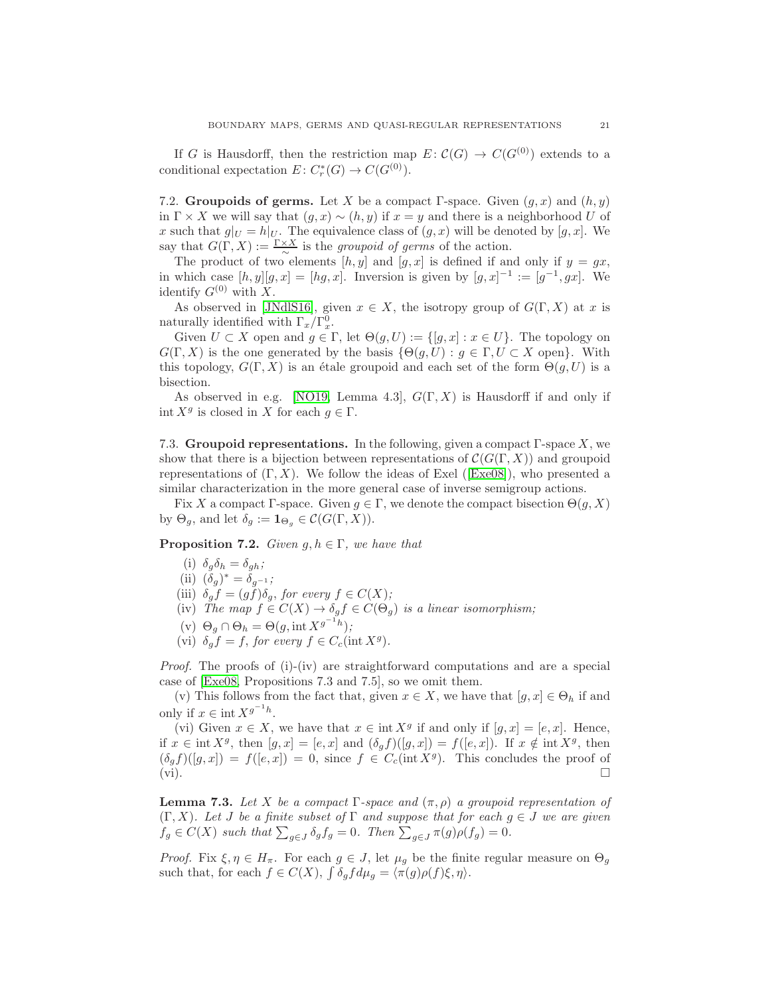<span id="page-20-2"></span>If G is Hausdorff, then the restriction map  $E: \mathcal{C}(G) \to C(G^{(0)})$  extends to a conditional expectation  $E: C_r^*(G) \to C(G^{(0)})$ .

7.2. Groupoids of germs. Let X be a compact Γ-space. Given  $(g, x)$  and  $(h, y)$ in  $\Gamma \times X$  we will say that  $(g, x) \sim (h, y)$  if  $x = y$  and there is a neighborhood U of x such that  $g|_U = h|_U$ . The equivalence class of  $(g, x)$  will be denoted by  $[g, x]$ . We say that  $G(\Gamma, X) := \frac{\Gamma \times X}{\sim}$  is the groupoid of germs of the action.

The product of two elements  $[h, y]$  and  $[g, x]$  is defined if and only if  $y = gx$ , in which case  $[h, y][g, x] = [hg, x]$ . Inversion is given by  $[g, x]^{-1} := [g^{-1}, gx]$ . We identify  $G^{(0)}$  with X.

As observed in [\[JNdlS16\]](#page-23-22), given  $x \in X$ , the isotropy group of  $G(\Gamma, X)$  at x is naturally identified with  $\Gamma_x/\Gamma_x^0$ .

Given  $U \subset X$  open and  $g \in \Gamma$ , let  $\Theta(g, U) := \{ [g, x] : x \in U \}$ . The topology on  $G(\Gamma, X)$  is the one generated by the basis  $\{\Theta(g, U) : g \in \Gamma, U \subset X \text{ open}\}.$  With this topology,  $G(\Gamma, X)$  is an étale groupoid and each set of the form  $\Theta(g, U)$  is a bisection.

As observed in e.g. [\[NO19,](#page-23-23) Lemma 4.3],  $G(\Gamma, X)$  is Hausdorff if and only if int  $X^g$  is closed in X for each  $g \in \Gamma$ .

7.3. Groupoid representations. In the following, given a compact  $\Gamma$ -space X, we show that there is a bijection between representations of  $\mathcal{C}(G(\Gamma, X))$  and groupoid representationsof  $(\Gamma, X)$ . We follow the ideas of Exel ([\[Exe08\]](#page-23-21)), who presented a similar characterization in the more general case of inverse semigroup actions.

<span id="page-20-0"></span>Fix X a compact Γ-space. Given  $g \in \Gamma$ , we denote the compact bisection  $\Theta(g, X)$ by  $\Theta_q$ , and let  $\delta_q := \mathbf{1}_{\Theta_q} \in \mathcal{C}(G(\Gamma, X)).$ 

**Proposition 7.2.** Given  $g, h \in \Gamma$ , we have that

- (i)  $\delta_q \delta_h = \delta_{qh}$ ;
- (ii)  $(\delta_g)^* = \delta_{g^{-1}};$

(iii)  $\delta_g f = (gf)\delta_g$ , for every  $f \in C(X)$ ;

- (iv) The map  $f \in C(X) \to \delta_a f \in C(\Theta_a)$  is a linear isomorphism;
- (v)  $\Theta_g \cap \Theta_h = \Theta(g, \text{int } X^{g^{-1}h});$
- (vi)  $\delta_g f = f$ , for every  $f \in C_c(\text{int } X^g)$ .

Proof. The proofs of (i)-(iv) are straightforward computations and are a special case of [\[Exe08,](#page-23-21) Propositions 7.3 and 7.5], so we omit them.

(v) This follows from the fact that, given  $x \in X$ , we have that  $[g, x] \in \Theta_h$  if and only if  $x \in \text{int } X^{g^{-1}h}$ .

(vi) Given  $x \in X$ , we have that  $x \in \text{int } X^g$  if and only if  $[g, x] = [e, x]$ . Hence, if  $x \in \text{int } X^g$ , then  $[g, x] = [e, x]$  and  $(\delta_g f)([g, x]) = f([e, x])$ . If  $x \notin \text{int } X^g$ , then  $(\delta_g f)([g, x]) = f([e, x]) = 0$ , since  $f \in C_c(\text{int } X^g)$ . This concludes the proof of  $(vi)$ .

<span id="page-20-1"></span>**Lemma 7.3.** Let X be a compact Γ-space and  $(\pi, \rho)$  a groupoid representation of  $(\Gamma, X)$ . Let J be a finite subset of  $\Gamma$  and suppose that for each  $g \in J$  we are given  $f_g \in C(X)$  such that  $\sum_{g \in J} \delta_g f_g = 0$ . Then  $\sum_{g \in J} \pi(g) \rho(f_g) = 0$ .

*Proof.* Fix  $\xi, \eta \in H_\pi$ . For each  $g \in J$ , let  $\mu_q$  be the finite regular measure on  $\Theta_q$ such that, for each  $f \in C(X)$ ,  $\int \delta_g f d\mu_g = \langle \pi(g) \rho(f) \xi, \eta \rangle$ .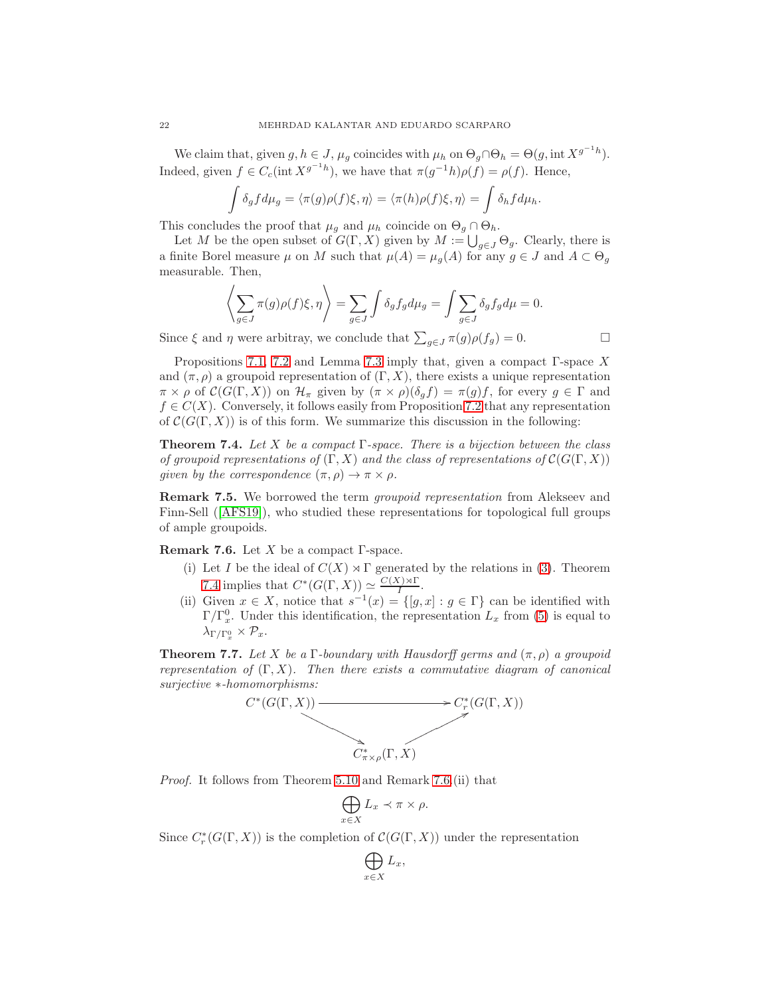We claim that, given  $g, h \in J$ ,  $\mu_g$  coincides with  $\mu_h$  on  $\Theta_g \cap \Theta_h = \Theta(g, \text{int } X^{g^{-1}h})$ . Indeed, given  $f \in C_c(\text{int } X^{g^{-1}h})$ , we have that  $\pi(g^{-1}h)\rho(f) = \rho(f)$ . Hence,

$$
\int \delta_g f d\mu_g = \langle \pi(g) \rho(f) \xi, \eta \rangle = \langle \pi(h) \rho(f) \xi, \eta \rangle = \int \delta_h f d\mu_h.
$$

This concludes the proof that  $\mu_g$  and  $\mu_h$  coincide on  $\Theta_g \cap \Theta_h$ .

Let M be the open subset of  $G(\Gamma, X)$  given by  $M := \bigcup_{g \in J} \Theta_g$ . Clearly, there is a finite Borel measure  $\mu$  on M such that  $\mu(A) = \mu_q(A)$  for any  $g \in J$  and  $A \subset \Theta_q$ measurable. Then,

$$
\left\langle \sum_{g \in J} \pi(g) \rho(f) \xi, \eta \right\rangle = \sum_{g \in J} \int \delta_g f_g d\mu_g = \int \sum_{g \in J} \delta_g f_g d\mu = 0.
$$

Since  $\xi$  and  $\eta$  were arbitray, we conclude that  $\sum_{g \in J} \pi(g) \rho(f_g) = 0$ .

Propositions [7.1,](#page-19-1) [7.2](#page-20-0) and Lemma [7.3](#page-20-1) imply that, given a compact  $\Gamma$ -space X and  $(\pi, \rho)$  a groupoid representation of  $(\Gamma, X)$ , there exists a unique representation  $\pi \times \rho$  of  $\mathcal{C}(G(\Gamma, X))$  on  $\mathcal{H}_{\pi}$  given by  $(\pi \times \rho)(\delta_g f) = \pi(g)f$ , for every  $g \in \Gamma$  and  $f \in C(X)$ . Conversely, it follows easily from Proposition [7.2](#page-20-0) that any representation of  $C(G(\Gamma, X))$  is of this form. We summarize this discussion in the following:

<span id="page-21-0"></span>**Theorem 7.4.** Let X be a compact  $\Gamma$ -space. There is a bijection between the class of groupoid representations of  $(\Gamma, X)$  and the class of representations of  $\mathcal{C}(G(\Gamma, X))$ given by the correspondence  $(\pi, \rho) \to \pi \times \rho$ .

Remark 7.5. We borrowed the term groupoid representation from Alekseev and Finn-Sell([\[AFS19\]](#page-22-9)), who studied these representations for topological full groups of ample groupoids.

<span id="page-21-1"></span>**Remark 7.6.** Let X be a compact  $\Gamma$ -space.

- (i) Let I be the ideal of  $C(X) \rtimes \Gamma$  generated by the relations in [\(3\)](#page-10-2). Theorem [7.4](#page-21-0) implies that  $C^*(G(\Gamma,X)) \simeq \frac{C(X)\rtimes \Gamma}{I}$  $\frac{N}{I}$ .
- (ii) Given  $x \in X$ , notice that  $s^{-1}(x) = \{[g, x] : g \in \Gamma\}$  can be identified with  $\Gamma/\Gamma_x^0$ . Under this identification, the representation  $L_x$  from [\(5\)](#page-19-2) is equal to  $\lambda_{\Gamma/\Gamma_x^0} \times \mathcal{P}_x.$

<span id="page-21-2"></span>**Theorem 7.7.** Let X be a Γ-boundary with Hausdorff germs and  $(\pi, \rho)$  a groupoid representation of  $(\Gamma, X)$ . Then there exists a commutative diagram of canonical surjective ∗-homomorphisms:



Proof. It follows from Theorem [5.10](#page-16-1) and Remark [7.6.](#page-21-1)(ii) that

$$
\bigoplus_{x\in X} L_x \prec \pi \times \rho.
$$

Since  $C_r^*(G(\Gamma, X))$  is the completion of  $\mathcal{C}(G(\Gamma, X))$  under the representation

$$
\bigoplus_{x\in X}L_x,
$$

<span id="page-21-3"></span>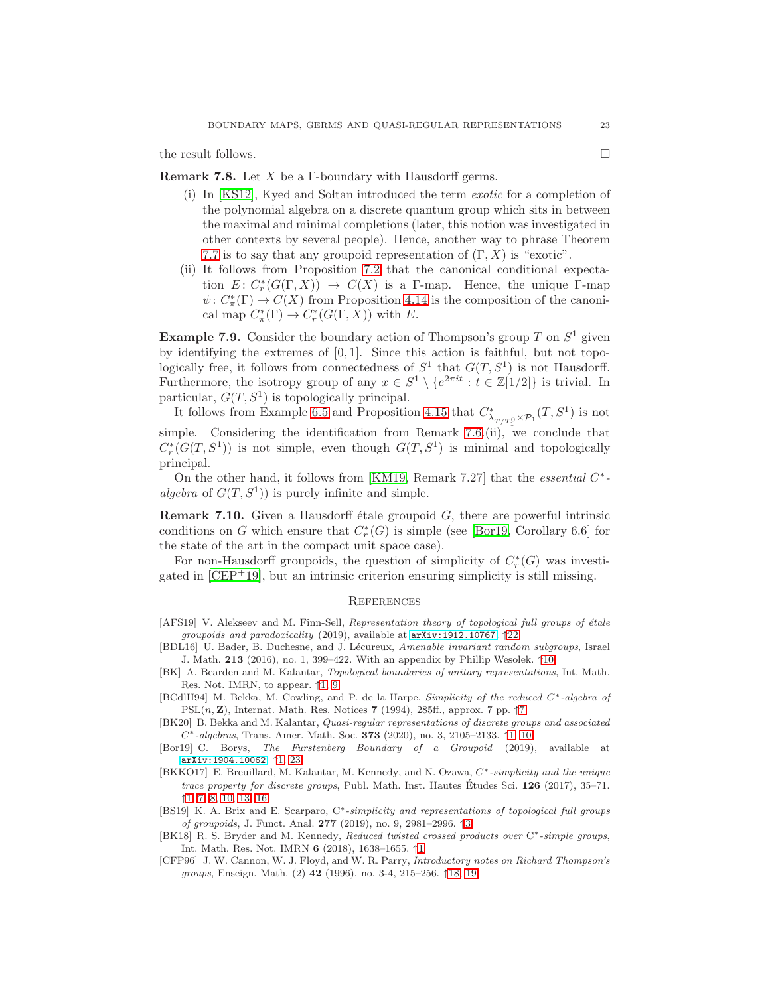<span id="page-22-10"></span>the result follows.  $\Box$ 

**Remark 7.8.** Let  $X$  be a  $\Gamma$ -boundary with Hausdorff germs.

- (i) In  $[KS12]$ , Kyed and Soltan introduced the term *exotic* for a completion of the polynomial algebra on a discrete quantum group which sits in between the maximal and minimal completions (later, this notion was investigated in other contexts by several people). Hence, another way to phrase Theorem [7.7](#page-21-2) is to say that any groupoid representation of  $(\Gamma, X)$  is "exotic".
- (ii) It follows from Proposition [7.2](#page-20-0) that the canonical conditional expectation  $E: C_r^*(G(\Gamma, X)) \to C(X)$  is a T-map. Hence, the unique T-map  $\psi: C^*_{\pi}(\Gamma) \to C(X)$  from Proposition [4.14](#page-14-3) is the composition of the canonical map  $C^*_\pi(\Gamma) \to C^*_r(G(\Gamma, X))$  with E.

**Example 7.9.** Consider the boundary action of Thompson's group T on  $S^1$  given by identifying the extremes of [0, 1]. Since this action is faithful, but not topologically free, it follows from connectedness of  $S^1$  that  $G(T, S^1)$  is not Hausdorff. Furthermore, the isotropy group of any  $x \in S^1 \setminus \{e^{2\pi it} : t \in \mathbb{Z}[1/2]\}$  is trivial. In particular,  $G(T, S^1)$  is topologically principal.

It follows from Example [6.5](#page-18-0) and Proposition [4.15](#page-14-4) that  $C^*_{\lambda_{T/T_7^0} \times \mathcal{P}_1}(T, S^1)$  is not simple. Considering the identification from Remark [7.6.](#page-21-1)(ii), we conclude that  $C^*_r(G(T, S^1))$  is not simple, even though  $G(T, S^1)$  is minimal and topologically principal.

On the other hand, it follows from [\[KM19,](#page-23-25) Remark 7.27] that the *essential*  $C^*$ algebra of  $G(T, S^1)$  is purely infinite and simple.

**Remark 7.10.** Given a Hausdorff étale groupoid  $G$ , there are powerful intrinsic conditions on G which ensure that  $C_r^*(G)$  is simple (see [\[Bor19,](#page-22-4) Corollary 6.6] for the state of the art in the compact unit space case).

For non-Hausdorff groupoids, the question of simplicity of  $C_r^*(G)$  was investigated in  $[CEP+19]$ , but an intrinsic criterion ensuring simplicity is still missing.

#### **REFERENCES**

- <span id="page-22-9"></span>[AFS19] V. Alekseev and M. Finn-Sell, Representation theory of topological full groups of étale groupoids and paradoxicality (2019), available at <arXiv:1912.10767>. ↑[22](#page-21-3)
- <span id="page-22-7"></span>[BDL16] U. Bader, B. Duchesne, and J. Lécureux, Amenable invariant random subgroups, Israel J. Math. 213 (2016), no. 1, 399–422. With an appendix by Phillip Wesolek. ↑[10](#page-9-2)
- <span id="page-22-3"></span>[BK] A. Bearden and M. Kalantar, Topological boundaries of unitary representations, Int. Math. Res. Not. IMRN, to appear. ↑[1,](#page-0-0) [9](#page-8-3)
- <span id="page-22-6"></span>[BCdlH94] M. Bekka, M. Cowling, and P. de la Harpe, Simplicity of the reduced C∗-algebra of  $PSL(n, Z)$ , Internat. Math. Res. Notices [7](#page-6-4) (1994), 285ff., approx. 7 pp.  $\uparrow$ 7
- <span id="page-22-2"></span>[BK20] B. Bekka and M. Kalantar, Quasi-regular representations of discrete groups and associated  $C^*$ -algebras, Trans. Amer. Math. Soc. 373 (2020), no. 3, 2105–2133.  $\uparrow$ [1,](#page-0-0) [10](#page-9-2)
- <span id="page-22-4"></span>[Bor19] C. Borys, The Furstenberg Boundary of a Groupoid (2019), available at <arXiv:1904.10062>. ↑[1,](#page-0-0) [23](#page-22-10)
- <span id="page-22-0"></span>[BKKO17] E. Breuillard, M. Kalantar, M. Kennedy, and N. Ozawa,  $C^*$ -simplicity and the unique trace property for discrete groups, Publ. Math. Inst. Hautes Études Sci.  $126$  (2017), 35–71. ↑[1,](#page-0-0) [7,](#page-6-4) [8,](#page-7-4) [10,](#page-9-2) [13,](#page-12-1) [16](#page-15-5)
- <span id="page-22-5"></span>[BS19] K. A. Brix and E. Scarparo, C<sup>\*</sup>-simplicity and representations of topological full groups of groupoids, J. Funct. Anal. 277 (2019), no. 9, 2981–2996. ↑[3](#page-2-1)
- <span id="page-22-1"></span>[BK18] R. S. Bryder and M. Kennedy, Reduced twisted crossed products over C<sup>∗</sup>-simple groups, Int. Math. Res. Not. IMRN 6 (2018), 1638–1655. ↑[1](#page-0-0)
- <span id="page-22-8"></span>[CFP96] J. W. Cannon, W. J. Floyd, and W. R. Parry, Introductory notes on Richard Thompson's groups, Enseign. Math. (2) 42 (1996), no. 3-4, 215–256. ↑[18,](#page-17-3) [19](#page-18-2)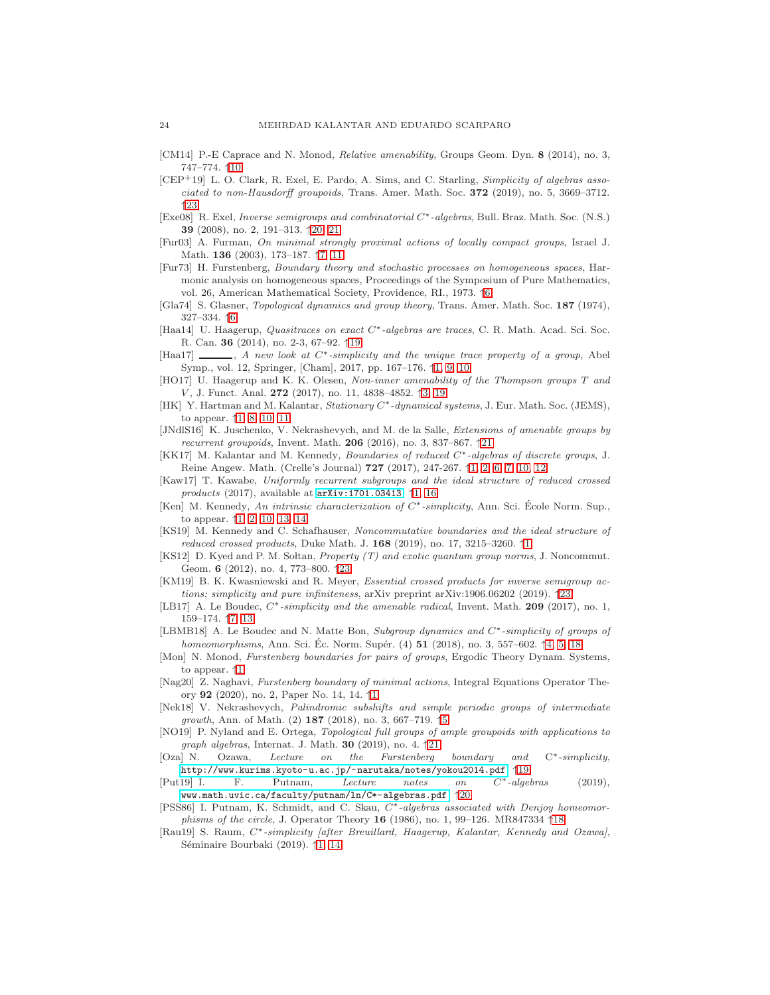- <span id="page-23-16"></span>[CM14] P.-E Caprace and N. Monod, *Relative amenability*, Groups Geom. Dyn. 8 (2014), no. 3, 747–774. ↑[10](#page-9-2)
- <span id="page-23-26"></span>[CEP+19] L. O. Clark, R. Exel, E. Pardo, A. Sims, and C. Starling, Simplicity of algebras associated to non-Hausdorff groupoids, Trans. Amer. Math. Soc. 372 (2019), no. 5, 3669–3712. ↑[23](#page-22-10)
- <span id="page-23-21"></span>[Exe08] R. Exel, Inverse semigroups and combinatorial C∗-algebras, Bull. Braz. Math. Soc. (N.S.) 39 (2008), no. 2, 191–313. ↑[20,](#page-19-3) [21](#page-20-2)
- <span id="page-23-14"></span>[Fur03] A. Furman, On minimal strongly proximal actions of locally compact groups, Israel J. Math. 136 (2003), 173–187. ↑[7,](#page-6-4) [11](#page-10-4)
- <span id="page-23-13"></span>[Fur73] H. Furstenberg, Boundary theory and stochastic processes on homogeneous spaces, Harmonic analysis on homogeneous spaces, Proceedings of the Symposium of Pure Mathematics, vol. 26, American Mathematical Society, Providence, RI., 1973. ↑[6](#page-5-1)
- <span id="page-23-12"></span>[Gla74] S. Glasner, Topological dynamics and group theory, Trans. Amer. Math. Soc. 187 (1974), 327–334. ↑[6](#page-5-1)
- <span id="page-23-18"></span>[Haa14] U. Haagerup, Quasitraces on exact C∗-algebras are traces, C. R. Math. Acad. Sci. Soc. R. Can. 36 (2014), no. 2-3, 67–92. ↑[19](#page-18-2)
- <span id="page-23-1"></span> $[Haa17]$  , A new look at  $C^*$ -simplicity and the unique trace property of a group, Abel Symp., vol. 12, Springer, [Cham], 2017, pp. 167–176. ↑[1,](#page-0-0) [9,](#page-8-3) [10](#page-9-2)
- <span id="page-23-9"></span>[HO17] U. Haagerup and K. K. Olesen, Non-inner amenability of the Thompson groups T and V, J. Funct. Anal. 272 (2017), no. 11, 4838-4852. ↑[3,](#page-2-1) [19](#page-18-2)
- <span id="page-23-3"></span>[HK] Y. Hartman and M. Kalantar, Stationary C<sup>∗</sup> -dynamical systems, J. Eur. Math. Soc. (JEMS), to appear. ↑[1,](#page-0-0) [8,](#page-7-4) [10,](#page-9-2) [11](#page-10-4)
- <span id="page-23-22"></span>[JNdlS16] K. Juschenko, V. Nekrashevych, and M. de la Salle, *Extensions of amenable groups by* recurrent groupoids, Invent. Math.  $206$  (2016), no. 3, 837–867.  $\uparrow$ [21](#page-20-2)
- <span id="page-23-0"></span>[KK17] M. Kalantar and M. Kennedy, Boundaries of reduced  $C^*$ -algebras of discrete groups, J. Reine Angew. Math. (Crelle's Journal) 727 (2017), 247-267. ↑[1,](#page-0-0) [2,](#page-1-0) [6,](#page-5-1) [7,](#page-6-4) [10,](#page-9-2) [12](#page-11-2)
- <span id="page-23-5"></span>[Kaw17] T. Kawabe, Uniformly recurrent subgroups and the ideal structure of reduced crossed products (2017), available at  $arXiv:1701.03413.$  $arXiv:1701.03413.$   $\uparrow$ [1,](#page-0-0) [16](#page-15-5)
- <span id="page-23-2"></span>[Ken] M. Kennedy, An intrinsic characterization of C<sup>∗</sup>-simplicity, Ann. Sci. École Norm. Sup., to appear. ↑[1,](#page-0-0) [2,](#page-1-0) [10,](#page-9-2) [13,](#page-12-1) [14](#page-13-2)
- <span id="page-23-6"></span>[KS19] M. Kennedy and C. Schafhauser, Noncommutative boundaries and the ideal structure of *reduced crossed products*, Duke Math. J.  $168$  $168$  (2019), no. 17, 3215–3260.  $\uparrow$ 1
- <span id="page-23-24"></span>[KS12] D. Kyed and P. M. Soltan, Property (T) and exotic quantum group norms, J. Noncommut. Geom. 6 (2012), no. 4, 773–800. ↑[23](#page-22-10)
- <span id="page-23-25"></span>[KM19] B. K. Kwasniewski and R. Meyer, Essential crossed products for inverse semigroup actions: simplicity and pure infiniteness, arXiv preprint arXiv:1906.06202 (2019). ↑[23](#page-22-10)
- <span id="page-23-15"></span>[LB17] A. Le Boudec,  $C^*$ -simplicity and the amenable radical, Invent. Math. 209 (2017), no. 1, 159–174. ↑[7,](#page-6-4) [13](#page-12-1)
- <span id="page-23-10"></span>[LBMB18] A. Le Boudec and N. Matte Bon, Subgroup dynamics and C<sup>∗</sup>-simplicity of groups of homeomorphisms, Ann. Sci. Ec. Norm. Supér.  $(4)$  51 (2018), no. 3, 557–602.  $\uparrow$ [4,](#page-3-1) [5,](#page-4-0) [18](#page-17-3)
- <span id="page-23-8"></span>[Mon] N. Monod, Furstenberg boundaries for pairs of groups, Ergodic Theory Dynam. Systems, to appear. ↑[1](#page-0-0)
- <span id="page-23-7"></span>[Nag20] Z. Naghavi, Furstenberg boundary of minimal actions, Integral Equations Operator Theory 92 (2020), no. 2, Paper No. 14, 14. ↑[1](#page-0-0)
- <span id="page-23-11"></span>[Nek18] V. Nekrashevych, Palindromic subshifts and simple periodic groups of intermediate growth, Ann. of Math.  $(2)$  187  $(2018)$ , no. 3, 667–719.  $\uparrow 5$  $\uparrow 5$
- <span id="page-23-23"></span>[NO19] P. Nyland and E. Ortega, Topological full groups of ample groupoids with applications to graph algebras, Internat. J. Math. 30 (2019), no. 4.  $\uparrow$ [21](#page-20-2)
- <span id="page-23-19"></span>[Oza] N. Ozawa, Lecture on the Furstenberg boundary and  $C^*$ -simplicity <http://www.kurims.kyoto-u.ac.jp/~narutaka/notes/yokou2014.pdf>. ↑[19](#page-18-2)<br>[Put19] I. F. Putnam, Lecture notes on  $C^*$ -alge
- <span id="page-23-20"></span>Putnam, Lecture notes on  $C^*$ -algebras (2019), [www.math.uvic.ca/faculty/putnam/ln/C\\*-algebras.pdf](www.math.uvic.ca/faculty/putnam/ln/C*-algebras.pdf). ↑[20](#page-19-3)
- <span id="page-23-17"></span>[PSS86] I. Putnam, K. Schmidt, and C. Skau,  $C^*$ -algebras associated with Denjoy homeomorphisms of the circle, J. Operator Theory 16 (1986), no. 1, 99–126. MR847334  $\uparrow$ [18](#page-17-3)
- <span id="page-23-4"></span>[Rau19] S. Raum, C<sup>\*</sup>-simplicity [after Breuillard, Haagerup, Kalantar, Kennedy and Ozawa], Séminaire Bourbaki (2019). ↑[1,](#page-0-0) [14](#page-13-2)